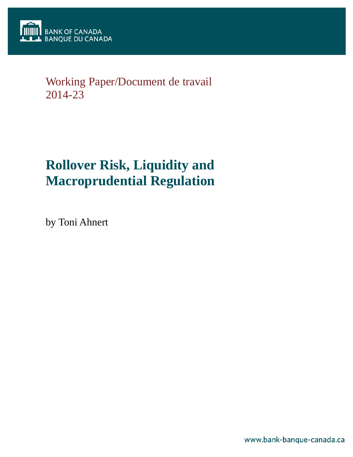

## Working Paper/Document de travail 2014-23

# **Rollover Risk, Liquidity and Macroprudential Regulation**

by Toni Ahnert

www.bank-banque-canada.ca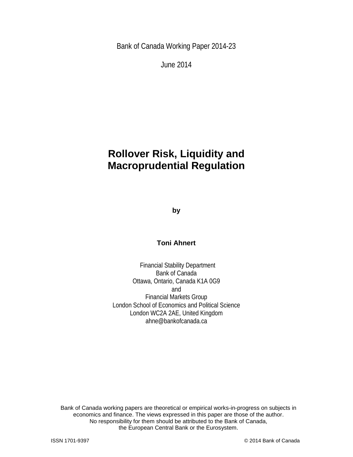Bank of Canada Working Paper 2014-23

June 2014

## **Rollover Risk, Liquidity and Macroprudential Regulation**

**by**

## **Toni Ahnert**

Financial Stability Department Bank of Canada Ottawa, Ontario, Canada K1A 0G9 and Financial Markets Group London School of Economics and Political Science London WC2A 2AE, United Kingdom ahne@bankofcanada.ca

2 the European Central Bank or the Eurosystem. Bank of Canada working papers are theoretical or empirical works-in-progress on subjects in economics and finance. The views expressed in this paper are those of the author. No responsibility for them should be attributed to the Bank of Canada,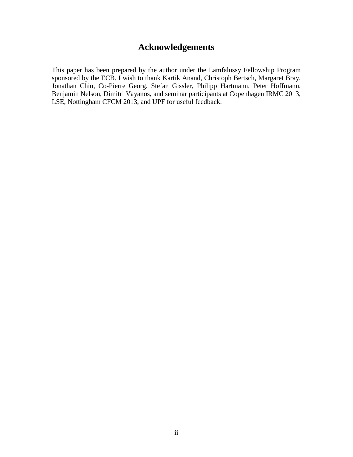## **Acknowledgements**

This paper has been prepared by the author under the Lamfalussy Fellowship Program sponsored by the ECB. I wish to thank Kartik Anand, Christoph Bertsch, Margaret Bray, Jonathan Chiu, Co-Pierre Georg, Stefan Gissler, Philipp Hartmann, Peter Hoffmann, Benjamin Nelson, Dimitri Vayanos, and seminar participants at Copenhagen IRMC 2013, LSE, Nottingham CFCM 2013, and UPF for useful feedback.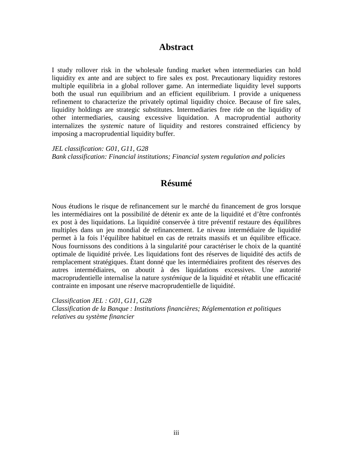## **Abstract**

I study rollover risk in the wholesale funding market when intermediaries can hold liquidity ex ante and are subject to fire sales ex post. Precautionary liquidity restores multiple equilibria in a global rollover game. An intermediate liquidity level supports both the usual run equilibrium and an efficient equilibrium. I provide a uniqueness refinement to characterize the privately optimal liquidity choice. Because of fire sales, liquidity holdings are strategic substitutes. Intermediaries free ride on the liquidity of other intermediaries, causing excessive liquidation. A macroprudential authority internalizes the *systemic* nature of liquidity and restores constrained efficiency by imposing a macroprudential liquidity buffer.

*JEL classification: G01, G11, G28 Bank classification: Financial institutions; Financial system regulation and policies*

## **Résumé**

Nous étudions le risque de refinancement sur le marché du financement de gros lorsque les intermédiaires ont la possibilité de détenir ex ante de la liquidité et d'être confrontés ex post à des liquidations. La liquidité conservée à titre préventif restaure des équilibres multiples dans un jeu mondial de refinancement. Le niveau intermédiaire de liquidité permet à la fois l'équilibre habituel en cas de retraits massifs et un équilibre efficace. Nous fournissons des conditions à la singularité pour caractériser le choix de la quantité optimale de liquidité privée. Les liquidations font des réserves de liquidité des actifs de remplacement stratégiques. Étant donné que les intermédiaires profitent des réserves des autres intermédiaires, on aboutit à des liquidations excessives. Une autorité macroprudentielle internalise la nature *systémique* de la liquidité et rétablit une efficacité contrainte en imposant une réserve macroprudentielle de liquidité.

*Classification JEL : G01, G11, G28 Classification de la Banque : Institutions financières; Réglementation et politiques relatives au système financier*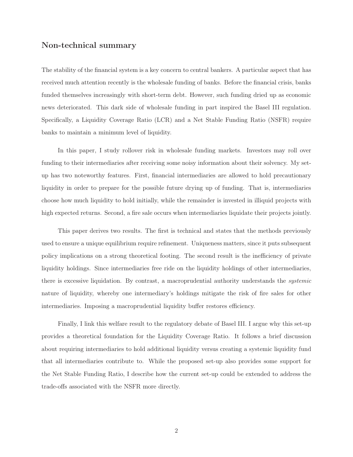#### Non-technical summary

The stability of the financial system is a key concern to central bankers. A particular aspect that has received much attention recently is the wholesale funding of banks. Before the financial crisis, banks funded themselves increasingly with short-term debt. However, such funding dried up as economic news deteriorated. This dark side of wholesale funding in part inspired the Basel III regulation. Specifically, a Liquidity Coverage Ratio (LCR) and a Net Stable Funding Ratio (NSFR) require banks to maintain a minimum level of liquidity.

In this paper, I study rollover risk in wholesale funding markets. Investors may roll over funding to their intermediaries after receiving some noisy information about their solvency. My setup has two noteworthy features. First, financial intermediaries are allowed to hold precautionary liquidity in order to prepare for the possible future drying up of funding. That is, intermediaries choose how much liquidity to hold initially, while the remainder is invested in illiquid projects with high expected returns. Second, a fire sale occurs when intermediaries liquidate their projects jointly.

This paper derives two results. The first is technical and states that the methods previously used to ensure a unique equilibrium require refinement. Uniqueness matters, since it puts subsequent policy implications on a strong theoretical footing. The second result is the inefficiency of private liquidity holdings. Since intermediaries free ride on the liquidity holdings of other intermediaries, there is excessive liquidation. By contrast, a macroprudential authority understands the systemic nature of liquidity, whereby one intermediary's holdings mitigate the risk of fire sales for other intermediaries. Imposing a macroprudential liquidity buffer restores efficiency.

Finally, I link this welfare result to the regulatory debate of Basel III. I argue why this set-up provides a theoretical foundation for the Liquidity Coverage Ratio. It follows a brief discussion about requiring intermediaries to hold additional liquidity versus creating a systemic liquidity fund that all intermediaries contribute to. While the proposed set-up also provides some support for the Net Stable Funding Ratio, I describe how the current set-up could be extended to address the trade-offs associated with the NSFR more directly.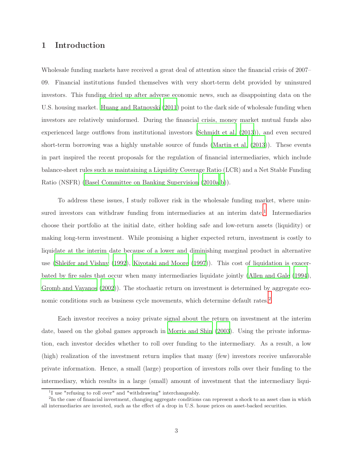### 1 Introduction

Wholesale funding markets have received a great deal of attention since the financial crisis of 2007– 09. Financial institutions funded themselves with very short-term debt provided by uninsured investors. This funding dried up after adverse economic news, such as disappointing data on the U.S. housing market. [Huang and Ratnovski \(2011\)](#page-39-0) point to the dark side of wholesale funding when investors are relatively uninformed. During the financial crisis, money market mutual funds also experienced large outflows from institutional investors [\(Schmidt et al. \(2013](#page-40-0))), and even secured short-term borrowing was a highly unstable source of funds [\(Martin et al. \(2013\)](#page-39-1)). These events in part inspired the recent proposals for the regulation of financial intermediaries, which include balance-sheet rules such as maintaining a Liquidity Coverage Ratio (LCR) and a Net Stable Funding Ratio (NSFR) [\(Basel Committee on Banking Supervision \(2010a](#page-38-0)[,b\)](#page-38-1)).

To address these issues, I study rollover risk in the wholesale funding market, where unin-sured investors can withdraw funding from intermediaries at an interim date.<sup>[1](#page-5-0)</sup> Intermediaries choose their portfolio at the initial date, either holding safe and low-return assets (liquidity) or making long-term investment. While promising a higher expected return, investment is costly to liquidate at the interim date because of a lower and diminishing marginal product in alternative use [\(Shleifer and Vishny \(1992](#page-40-1)), [Kiyotaki and Moore \(1997](#page-39-2))). This cost of liquidation is exacerbated by fire sales that occur when many intermediaries liquidate jointly [\(Allen and Gale \(1994\)](#page-38-2), [Gromb and Vayanos \(2002](#page-39-3))). The stochastic return on investment is determined by aggregate eco-nomic conditions such as business cycle movements, which determine default rates.<sup>[2](#page-5-1)</sup>

Each investor receives a noisy private signal about the return on investment at the interim date, based on the global games approach in [Morris and Shin \(2003\)](#page-39-4). Using the private information, each investor decides whether to roll over funding to the intermediary. As a result, a low (high) realization of the investment return implies that many (few) investors receive unfavorable private information. Hence, a small (large) proportion of investors rolls over their funding to the intermediary, which results in a large (small) amount of investment that the intermediary liqui-

<span id="page-5-0"></span><sup>&</sup>lt;sup>1</sup>I use "refusing to roll over" and "withdrawing" interchangeably.

<span id="page-5-1"></span><sup>&</sup>lt;sup>2</sup>In the case of financial investment, changing aggregate conditions can represent a shock to an asset class in which all intermediaries are invested, such as the effect of a drop in U.S. house prices on asset-backed securities.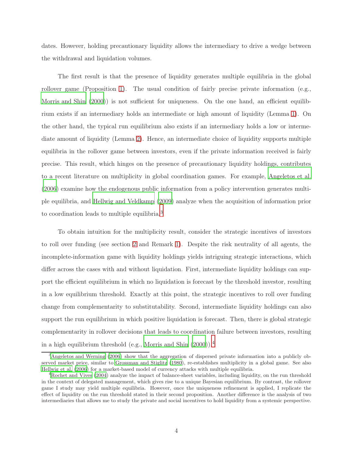dates. However, holding precautionary liquidity allows the intermediary to drive a wedge between the withdrawal and liquidation volumes.

The first result is that the presence of liquidity generates multiple equilibria in the global rollover game (Proposition [1\)](#page-18-0). The usual condition of fairly precise private information (e.g., [Morris and Shin \(2000\)](#page-39-5)) is not sufficient for uniqueness. On the one hand, an efficient equilibrium exists if an intermediary holds an intermediate or high amount of liquidity (Lemma [1\)](#page-16-0). On the other hand, the typical run equilibrium also exists if an intermediary holds a low or intermediate amount of liquidity (Lemma [2\)](#page-17-0). Hence, an intermediate choice of liquidity supports multiple equilibria in the rollover game between investors, even if the private information received is fairly precise. This result, which hinges on the presence of precautionary liquidity holdings, contributes to a recent literature on multiplicity in global coordination games. For example, [Angeletos et al.](#page-38-3) [\(2006\)](#page-38-3) examine how the endogenous public information from a policy intervention generates multiple equilibria, and [Hellwig and Veldkamp \(2009\)](#page-39-6) analyze when the acquisition of information prior to coordination leads to multiple equilibria.[3](#page-6-0)

To obtain intuition for the multiplicity result, consider the strategic incentives of investors to roll over funding (see section [2](#page-9-0) and Remark [1\)](#page-13-0). Despite the risk neutrality of all agents, the incomplete-information game with liquidity holdings yields intriguing strategic interactions, which differ across the cases with and without liquidation. First, intermediate liquidity holdings can support the efficient equilibrium in which no liquidation is forecast by the threshold investor, resulting in a low equilibrium threshold. Exactly at this point, the strategic incentives to roll over funding change from complementarity to substitutability. Second, intermediate liquidity holdings can also support the run equilibrium in which positive liquidation is forecast. Then, there is global strategic complementarity in rollover decisions that leads to coordination failure between investors, resulting in a high equilibrium threshold (e.g., [Morris and Shin \(2000\)](#page-39-5)).[4](#page-6-1)

<span id="page-6-0"></span><sup>&</sup>lt;sup>3</sup>[Angeletos and Werning \(2006](#page-38-4)) show that the aggregation of dispersed private information into a publicly observed market price, similar to [Grossman and Stiglitz \(1980](#page-39-7)), re-establishes multiplicity in a global game. See also [Hellwig et al. \(2006](#page-39-8)) for a market-based model of currency attacks with multiple equilibria.

<span id="page-6-1"></span><sup>&</sup>lt;sup>4</sup>[Rochet and Vives \(2004\)](#page-40-2) analyze the impact of balance-sheet variables, including liquidity, on the run threshold in the context of delegated management, which gives rise to a unique Bayesian equilibrium. By contrast, the rollover game I study may yield multiple equilibria. However, once the uniqueness refinement is applied, I replicate the effect of liquidity on the run threshold stated in their second proposition. Another difference is the analysis of two intermediaries that allows me to study the private and social incentives to hold liquidity from a systemic perspective.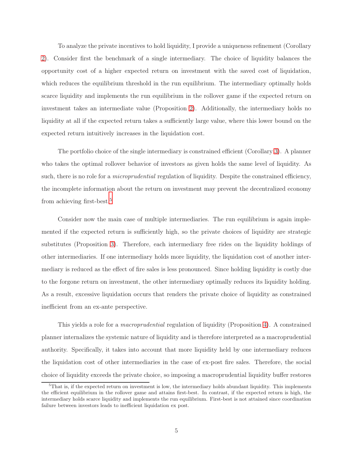To analyze the private incentives to hold liquidity, I provide a uniqueness refinement (Corollary [2\)](#page-21-0). Consider first the benchmark of a single intermediary. The choice of liquidity balances the opportunity cost of a higher expected return on investment with the saved cost of liquidation, which reduces the equilibrium threshold in the run equilibrium. The intermediary optimally holds scarce liquidity and implements the run equilibrium in the rollover game if the expected return on investment takes an intermediate value (Proposition [2\)](#page-25-0). Additionally, the intermediary holds no liquidity at all if the expected return takes a sufficiently large value, where this lower bound on the expected return intuitively increases in the liquidation cost.

The portfolio choice of the single intermediary is constrained efficient (Corollary [3\)](#page-26-0). A planner who takes the optimal rollover behavior of investors as given holds the same level of liquidity. As such, there is no role for a *microprudential* regulation of liquidity. Despite the constrained efficiency, the incomplete information about the return on investment may prevent the decentralized economy from achieving first-best.[5](#page-7-0)

Consider now the main case of multiple intermediaries. The run equilibrium is again implemented if the expected return is sufficiently high, so the private choices of liquidity are strategic substitutes (Proposition [3\)](#page-31-0). Therefore, each intermediary free rides on the liquidity holdings of other intermediaries. If one intermediary holds more liquidity, the liquidation cost of another intermediary is reduced as the effect of fire sales is less pronounced. Since holding liquidity is costly due to the forgone return on investment, the other intermediary optimally reduces its liquidity holding. As a result, excessive liquidation occurs that renders the private choice of liquidity as constrained inefficient from an ex-ante perspective.

This yields a role for a macroprudential regulation of liquidity (Proposition [4\)](#page-33-0). A constrained planner internalizes the systemic nature of liquidity and is therefore interpreted as a macroprudential authority. Specifically, it takes into account that more liquidity held by one intermediary reduces the liquidation cost of other intermediaries in the case of ex-post fire sales. Therefore, the social choice of liquidity exceeds the private choice, so imposing a macroprudential liquidity buffer restores

<span id="page-7-0"></span> $5$ That is, if the expected return on investment is low, the intermediary holds abundant liquidity. This implements the efficient equilibrium in the rollover game and attains first-best. In contrast, if the expected return is high, the intermediary holds scarce liquidity and implements the run equilibrium. First-best is not attained since coordination failure between investors leads to inefficient liquidation ex post.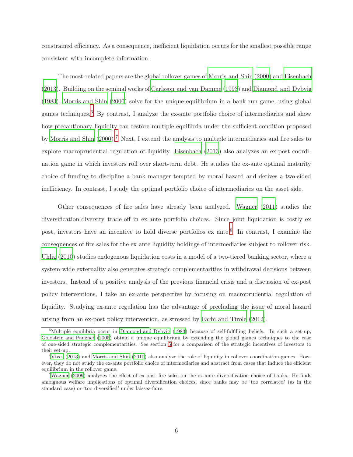constrained efficiency. As a consequence, inefficient liquidation occurs for the smallest possible range consistent with incomplete information.

The most-related papers are the global rollover games of [Morris and Shin \(2000](#page-39-5)) and [Eisenbach](#page-38-5) [\(2013\)](#page-38-5). Building on the seminal works of [Carlsson and van Damme \(1993\)](#page-38-6) and [Diamond and Dybvig](#page-38-7) [\(1983\)](#page-38-7), [Morris and Shin \(2000](#page-39-5)) solve for the unique equilibrium in a bank run game, using global games techniques.<sup>[6](#page-8-0)</sup> By contrast, I analyze the ex-ante portfolio choice of intermediaries and show how precautionary liquidity can restore multiple equilibria under the sufficient condition proposed by [Morris and Shin \(2000](#page-39-5)).[7](#page-8-1) Next, I extend the analysis to multiple intermediaries and fire sales to explore macroprudential regulation of liquidity. [Eisenbach \(2013\)](#page-38-5) also analyzes an ex-post coordination game in which investors roll over short-term debt. He studies the ex-ante optimal maturity choice of funding to discipline a bank manager tempted by moral hazard and derives a two-sided inefficiency. In contrast, I study the optimal portfolio choice of intermediaries on the asset side.

Other consequences of fire sales have already been analyzed. [Wagner \(2011](#page-40-3)) studies the diversification-diversity trade-off in ex-ante portfolio choices. Since joint liquidation is costly ex post, investors have an incentive to hold diverse portfolios ex ante.<sup>[8](#page-8-2)</sup> In contrast, I examine the consequences of fire sales for the ex-ante liquidity holdings of intermediaries subject to rollover risk. [Uhlig \(2010](#page-40-4)) studies endogenous liquidation costs in a model of a two-tiered banking sector, where a system-wide externality also generates strategic complementarities in withdrawal decisions between investors. Instead of a positive analysis of the previous financial crisis and a discussion of ex-post policy interventions, I take an ex-ante perspective by focusing on macroprudential regulation of liquidity. Studying ex-ante regulation has the advantage of precluding the issue of moral hazard arising from an ex-post policy intervention, as stressed by [Farhi and Tirole](#page-38-8) [\(2012](#page-38-8)).

<span id="page-8-0"></span> $6$ Multiple equilibria occur in [Diamond and Dybvig \(1983](#page-38-7)) because of self-fulfilling beliefs. In such a set-up, [Goldstein and Pauzner \(2005](#page-39-9)) obtain a unique equilibrium by extending the global games techniques to the case of one-sided strategic complementarities. See section [5](#page-34-0) for a comparison of the strategic incentives of investors to their set-up.

<span id="page-8-1"></span><sup>&</sup>lt;sup>7</sup>[Vives \(2013](#page-40-5)) and [Morris and Shin \(2010\)](#page-39-10) also analyze the role of liquidity in rollover coordination games. However, they do not study the ex-ante portfolio choice of intermediaries and abstract from cases that induce the efficient equilibrium in the rollover game.

<span id="page-8-2"></span><sup>8</sup>[Wagner \(2009\)](#page-40-6) analyzes the effect of ex-post fire sales on the ex-ante diversification choice of banks. He finds ambiguous welfare implications of optimal diversification choices, since banks may be 'too correlated' (as in the standard case) or 'too diversified' under laissez-faire.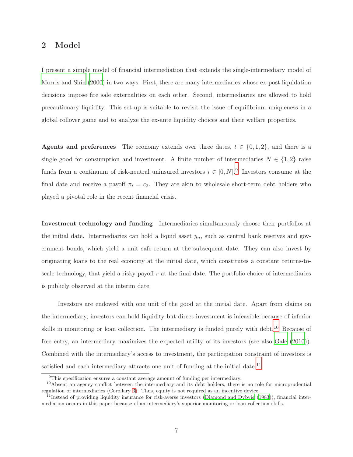### <span id="page-9-0"></span>2 Model

I present a simple model of financial intermediation that extends the single-intermediary model of [Morris and Shin \(2000\)](#page-39-5) in two ways. First, there are many intermediaries whose ex-post liquidation decisions impose fire sale externalities on each other. Second, intermediaries are allowed to hold precautionary liquidity. This set-up is suitable to revisit the issue of equilibrium uniqueness in a global rollover game and to analyze the ex-ante liquidity choices and their welfare properties.

Agents and preferences The economy extends over three dates,  $t \in \{0, 1, 2\}$ , and there is a single good for consumption and investment. A finite number of intermediaries  $N \in \{1,2\}$  raise funds from a continuum of risk-neutral uninsured investors  $i \in [0, N]$ .<sup>[9](#page-9-1)</sup> Investors consume at the final date and receive a payoff  $\pi_i = c_2$ . They are akin to wholesale short-term debt holders who played a pivotal role in the recent financial crisis.

Investment technology and funding Intermediaries simultaneously choose their portfolios at the initial date. Intermediaries can hold a liquid asset  $y_n$ , such as central bank reserves and government bonds, which yield a unit safe return at the subsequent date. They can also invest by originating loans to the real economy at the initial date, which constitutes a constant returns-toscale technology, that yield a risky payoff  $r$  at the final date. The portfolio choice of intermediaries is publicly observed at the interim date.

Investors are endowed with one unit of the good at the initial date. Apart from claims on the intermediary, investors can hold liquidity but direct investment is infeasible because of inferior skills in monitoring or loan collection. The intermediary is funded purely with debt.<sup>[10](#page-9-2)</sup> Because of free entry, an intermediary maximizes the expected utility of its investors (see also [Gale \(2010](#page-39-11))). Combined with the intermediary's access to investment, the participation constraint of investors is satisfied and each intermediary attracts one unit of funding at the initial date.<sup>[11](#page-9-3)</sup>

<span id="page-9-1"></span> $9$ This specification ensures a constant average amount of funding per intermediary.

<span id="page-9-2"></span><sup>&</sup>lt;sup>10</sup>Absent an agency conflict between the intermediary and its debt holders, there is no role for microprudential regulation of intermediaries (Corollary [3\)](#page-26-0). Thus, equity is not required as an incentive device.

<span id="page-9-3"></span> $11$ Instead of providing liquidity insurance for risk-averse investors [\(Diamond and Dybvig \(1983](#page-38-7))), financial intermediation occurs in this paper because of an intermediary's superior monitoring or loan collection skills.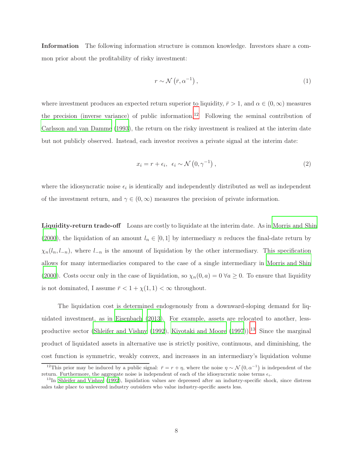Information The following information structure is common knowledge. Investors share a common prior about the profitability of risky investment:

$$
r \sim \mathcal{N}\left(\bar{r}, \alpha^{-1}\right),\tag{1}
$$

where investment produces an expected return superior to liquidity,  $\bar{r} > 1$ , and  $\alpha \in (0, \infty)$  measures the precision (inverse variance) of public information.<sup>[12](#page-10-0)</sup> Following the seminal contribution of [Carlsson and van Damme](#page-38-6) [\(1993](#page-38-6)), the return on the risky investment is realized at the interim date but not publicly observed. Instead, each investor receives a private signal at the interim date:

$$
x_i = r + \epsilon_i, \ \epsilon_i \sim \mathcal{N}\left(0, \gamma^{-1}\right), \tag{2}
$$

where the idiosyncratic noise  $\epsilon_i$  is identically and independently distributed as well as independent of the investment return, and  $\gamma \in (0,\infty)$  measures the precision of private information.

Liquidity-return trade-off Loans are costly to liquidate at the interim date. As in [Morris and Shin](#page-39-5) [\(2000\)](#page-39-5), the liquidation of an amount  $l_n \in [0,1]$  by intermediary n reduces the final-date return by  $\chi_n(l_n, l_{-n})$ , where  $l_{-n}$  is the amount of liquidation by the other intermediary. This specification allows for many intermediaries compared to the case of a single intermediary in [Morris and Shin](#page-39-5) [\(2000\)](#page-39-5). Costs occur only in the case of liquidation, so  $\chi_n(0, a) = 0 \,\forall a \geq 0$ . To ensure that liquidity is not dominated, I assume  $\bar{r} < 1 + \chi(1, 1) < \infty$  throughout.

The liquidation cost is determined endogenously from a downward-sloping demand for liquidated investment, as in [Eisenbach](#page-38-5) [\(2013](#page-38-5)). For example, assets are relocated to another, less-productive sector [\(Shleifer and Vishny \(1992\)](#page-40-1), [Kiyotaki and Moore \(1997](#page-39-2))).<sup>[13](#page-10-1)</sup> Since the marginal product of liquidated assets in alternative use is strictly positive, continuous, and diminishing, the cost function is symmetric, weakly convex, and increases in an intermediary's liquidation volume

<span id="page-10-0"></span><sup>&</sup>lt;sup>12</sup>This prior may be induced by a public signal:  $\bar{r} = r + \eta$ , where the noise  $\eta \sim \mathcal{N}(0, \alpha^{-1})$  is independent of the return. Furthermore, the aggregate noise is independent of each of the idiosyncratic noise terms  $\epsilon_i$ .

<span id="page-10-1"></span><sup>&</sup>lt;sup>13</sup>In [Shleifer and Vishny \(1992](#page-40-1)), liquidation values are depressed after an industry-specific shock, since distress sales take place to unlevered industry outsiders who value industry-specific assets less.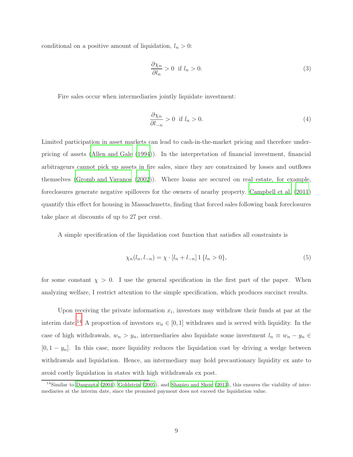conditional on a positive amount of liquidation,  $l_n > 0$ :

$$
\frac{\partial \chi_n}{\partial l_n} > 0 \quad \text{if } l_n > 0. \tag{3}
$$

Fire sales occur when intermediaries jointly liquidate investment:

$$
\frac{\partial \chi_n}{\partial l_{-n}} > 0 \quad \text{if } l_n > 0. \tag{4}
$$

Limited participation in asset markets can lead to cash-in-the-market pricing and therefore underpricing of assets [\(Allen and Gale \(1994](#page-38-2))). In the interpretation of financial investment, financial arbitrageurs cannot pick up assets in fire sales, since they are constrained by losses and outflows themselves [\(Gromb and Vayanos \(2002](#page-39-3))). Where loans are secured on real estate, for example, foreclosures generate negative spillovers for the owners of nearby property. [Campbell et al. \(2011\)](#page-38-9) quantify this effect for housing in Massachusetts, finding that forced sales following bank foreclosures take place at discounts of up to 27 per cent.

A simple specification of the liquidation cost function that satisfies all constraints is

<span id="page-11-1"></span>
$$
\chi_n(l_n, l_{-n}) = \chi \cdot [l_n + l_{-n}] \, 1 \, \{l_n > 0\},\tag{5}
$$

for some constant  $\chi > 0$ . I use the general specification in the first part of the paper. When analyzing welfare, I restrict attention to the simple specification, which produces succinct results.

Upon receiving the private information  $x_i$ , investors may withdraw their funds at par at the interim date.<sup>[14](#page-11-0)</sup> A proportion of investors  $w_n \in [0,1]$  withdraws and is served with liquidity. In the case of high withdrawals,  $w_n > y_n$ , intermediaries also liquidate some investment  $l_n \equiv w_n - y_n \in$  $[0, 1 - y_n]$ . In this case, more liquidity reduces the liquidation cost by driving a wedge between withdrawals and liquidation. Hence, an intermediary may hold precautionary liquidity ex ante to avoid costly liquidation in states with high withdrawals ex post.

<span id="page-11-0"></span> $14$ Similar to [Dasgupta \(2004\)](#page-38-10), [Goldstein \(2005](#page-39-12)), and [Shapiro and Skeie \(2013](#page-40-7)), this ensures the viability of intermediaries at the interim date, since the promised payment does not exceed the liquidation value.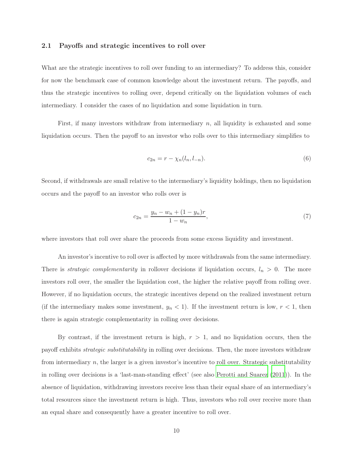#### 2.1 Payoffs and strategic incentives to roll over

What are the strategic incentives to roll over funding to an intermediary? To address this, consider for now the benchmark case of common knowledge about the investment return. The payoffs, and thus the strategic incentives to rolling over, depend critically on the liquidation volumes of each intermediary. I consider the cases of no liquidation and some liquidation in turn.

First, if many investors withdraw from intermediary n, all liquidity is exhausted and some liquidation occurs. Then the payoff to an investor who rolls over to this intermediary simplifies to

$$
c_{2n} = r - \chi_n(l_n, l_{-n}).
$$
\n(6)

Second, if withdrawals are small relative to the intermediary's liquidity holdings, then no liquidation occurs and the payoff to an investor who rolls over is

$$
c_{2n} = \frac{y_n - w_n + (1 - y_n)r}{1 - w_n},\tag{7}
$$

where investors that roll over share the proceeds from some excess liquidity and investment.

An investor's incentive to roll over is affected by more withdrawals from the same intermediary. There is *strategic complementarity* in rollover decisions if liquidation occurs,  $l_n > 0$ . The more investors roll over, the smaller the liquidation cost, the higher the relative payoff from rolling over. However, if no liquidation occurs, the strategic incentives depend on the realized investment return (if the intermediary makes some investment,  $y_n < 1$ ). If the investment return is low,  $r < 1$ , then there is again strategic complementarity in rolling over decisions.

By contrast, if the investment return is high,  $r > 1$ , and no liquidation occurs, then the payoff exhibits strategic substitutability in rolling over decisions. Then, the more investors withdraw from intermediary n, the larger is a given investor's incentive to roll over. Strategic substitutability in rolling over decisions is a 'last-man-standing effect' (see also [Perotti and Suarez \(2011](#page-40-8))). In the absence of liquidation, withdrawing investors receive less than their equal share of an intermediary's total resources since the investment return is high. Thus, investors who roll over receive more than an equal share and consequently have a greater incentive to roll over.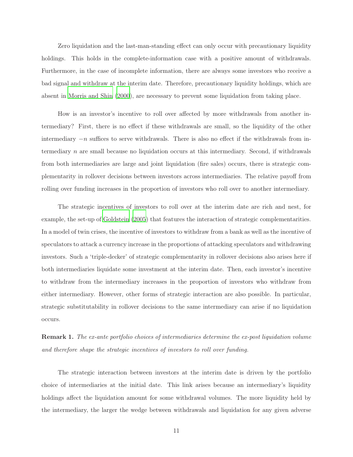Zero liquidation and the last-man-standing effect can only occur with precautionary liquidity holdings. This holds in the complete-information case with a positive amount of withdrawals. Furthermore, in the case of incomplete information, there are always some investors who receive a bad signal and withdraw at the interim date. Therefore, precautionary liquidity holdings, which are absent in [Morris and Shin](#page-39-5) [\(2000](#page-39-5)), are necessary to prevent some liquidation from taking place.

How is an investor's incentive to roll over affected by more withdrawals from another intermediary? First, there is no effect if these withdrawals are small, so the liquidity of the other intermediary  $-n$  suffices to serve withdrawals. There is also no effect if the withdrawals from intermediary n are small because no liquidation occurs at this intermediary. Second, if withdrawals from both intermediaries are large and joint liquidation (fire sales) occurs, there is strategic complementarity in rollover decisions between investors across intermediaries. The relative payoff from rolling over funding increases in the proportion of investors who roll over to another intermediary.

The strategic incentives of investors to roll over at the interim date are rich and nest, for example, the set-up of [Goldstein](#page-39-12) [\(2005](#page-39-12)) that features the interaction of strategic complementarities. In a model of twin crises, the incentive of investors to withdraw from a bank as well as the incentive of speculators to attack a currency increase in the proportions of attacking speculators and withdrawing investors. Such a 'triple-decker' of strategic complementarity in rollover decisions also arises here if both intermediaries liquidate some investment at the interim date. Then, each investor's incentive to withdraw from the intermediary increases in the proportion of investors who withdraw from either intermediary. However, other forms of strategic interaction are also possible. In particular, strategic substitutability in rollover decisions to the same intermediary can arise if no liquidation occurs.

<span id="page-13-0"></span>Remark 1. The ex-ante portfolio choices of intermediaries determine the ex-post liquidation volume and therefore shape the strategic incentives of investors to roll over funding.

The strategic interaction between investors at the interim date is driven by the portfolio choice of intermediaries at the initial date. This link arises because an intermediary's liquidity holdings affect the liquidation amount for some withdrawal volumes. The more liquidity held by the intermediary, the larger the wedge between withdrawals and liquidation for any given adverse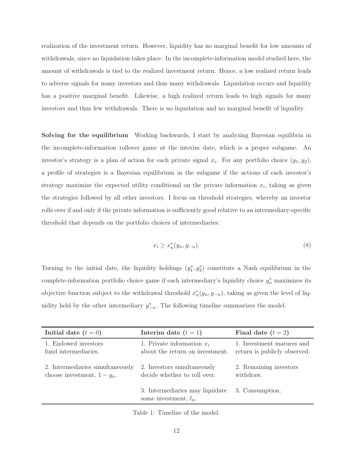realization of the investment return. However, liquidity has no marginal benefit for low amounts of withdrawals, since no liquidation takes place. In the incomplete-information model studied here, the amount of withdrawals is tied to the realized investment return. Hence, a low realized return leads to adverse signals for many investors and thus many withdrawals. Liquidation occurs and liquidity has a positive marginal benefit. Likewise, a high realized return leads to high signals for many investors and thus few withdrawals. There is no liquidation and no marginal benefit of liquidity.

Solving for the equilibrium Working backwards, I start by analyzing Bayesian equilibria in the incomplete-information rollover game at the interim date, which is a proper subgame. An investor's strategy is a plan of action for each private signal  $x_i$ . For any portfolio choice  $(y_1, y_2)$ , a profile of strategies is a Bayesian equilibrium in the subgame if the actions of each investor's strategy maximize the expected utility conditional on the private information  $x_i$ , taking as given the strategies followed by all other investors. I focus on threshold strategies, whereby an investor rolls over if and only if the private information is sufficiently good relative to an intermediary-specific threshold that depends on the portfolio choices of intermediaries:

$$
x_i \ge x_n^*(y_n, y_{-n}).\tag{8}
$$

Turning to the initial date, the liquidity holdings  $(y_1^*, y_2^*)$  constitute a Nash equilibrium in the complete-information portfolio choice game if each intermediary's liquidity choice  $y_n^*$  maximizes its objective function subject to the withdrawal threshold  $x_n^*(y_n, y_{-n})$ , taking as given the level of liquidity held by the other intermediary  $y_{-n}^*$ . The following timeline summarizes the model.

| Initial date $(t = 0)$           | Interim date $(t = 1)$                                      | Final date $(t = 2)$         |
|----------------------------------|-------------------------------------------------------------|------------------------------|
| 1. Endowed investors             | 1. Private information $x_i$                                | 1. Investment matures and    |
| fund intermediaries.             | about the return on investment.                             | return is publicly observed. |
| 2. Intermediaries simultaneously | 2. Investors simultaneously                                 | 2. Remaining investors       |
| choose investment, $1 - y_n$ .   | decide whether to roll over.                                | withdraw.                    |
|                                  | 3. Intermediaries may liquidate<br>some investment, $l_n$ . | 3. Consumption.              |

Table 1: Timeline of the model.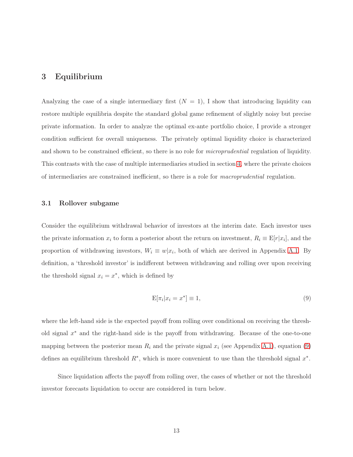## 3 Equilibrium

Analyzing the case of a single intermediary first  $(N = 1)$ , I show that introducing liquidity can restore multiple equilibria despite the standard global game refinement of slightly noisy but precise private information. In order to analyze the optimal ex-ante portfolio choice, I provide a stronger condition sufficient for overall uniqueness. The privately optimal liquidity choice is characterized and shown to be constrained efficient, so there is no role for *microprudential* regulation of liquidity. This contrasts with the case of multiple intermediaries studied in section [4,](#page-26-1) where the private choices of intermediaries are constrained inefficient, so there is a role for macroprudential regulation.

#### 3.1 Rollover subgame

Consider the equilibrium withdrawal behavior of investors at the interim date. Each investor uses the private information  $x_i$  to form a posterior about the return on investment,  $R_i \equiv \mathbb{E}[r|x_i]$ , and the proportion of withdrawing investors,  $W_i \equiv w | x_i$ , both of which are derived in Appendix [A.1.](#page-41-0) By definition, a 'threshold investor' is indifferent between withdrawing and rolling over upon receiving the threshold signal  $x_i = x^*$ , which is defined by

<span id="page-15-0"></span>
$$
E[\pi_i|x_i = x^*] \equiv 1,\tag{9}
$$

where the left-hand side is the expected payoff from rolling over conditional on receiving the threshold signal x ∗ and the right-hand side is the payoff from withdrawing. Because of the one-to-one mapping between the posterior mean  $R_i$  and the private signal  $x_i$  (see Appendix [A.1\)](#page-41-0), equation [\(9\)](#page-15-0) defines an equilibrium threshold  $R^*$ , which is more convenient to use than the threshold signal  $x^*$ .

Since liquidation affects the payoff from rolling over, the cases of whether or not the threshold investor forecasts liquidation to occur are considered in turn below.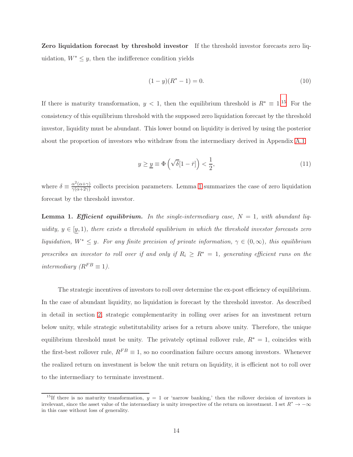Zero liquidation forecast by threshold investor If the threshold investor forecasts zero liquidation,  $W^* \leq y$ , then the indifference condition yields

$$
(1 - y)(R^* - 1) = 0.
$$
\n(10)

If there is maturity transformation,  $y < 1$ , then the equilibrium threshold is  $R^* \equiv 1.15$  $R^* \equiv 1.15$  For the consistency of this equilibrium threshold with the supposed zero liquidation forecast by the threshold investor, liquidity must be abundant. This lower bound on liquidity is derived by using the posterior about the proportion of investors who withdraw from the intermediary derived in Appendix [A.1:](#page-41-0)

<span id="page-16-2"></span>
$$
y \ge \underline{y} \equiv \Phi\left(\sqrt{\delta}[1-\bar{r}]\right) < \frac{1}{2},\tag{11}
$$

where  $\delta \equiv \frac{\alpha^2(\alpha+\gamma)}{\gamma(\alpha+2\gamma)}$  $\frac{\alpha - (\alpha + \gamma)}{\gamma(\alpha + 2\gamma)}$  collects precision parameters. Lemma [1](#page-16-0) summarizes the case of zero liquidation forecast by the threshold investor.

<span id="page-16-0"></span>**Lemma 1. Efficient equilibrium.** In the single-intermediary case,  $N = 1$ , with abundant liquidity,  $y \in [y, 1)$ , there exists a threshold equilibrium in which the threshold investor forecasts zero liquidation,  $W^* \leq y$ . For any finite precision of private information,  $\gamma \in (0,\infty)$ , this equilibrium prescribes an investor to roll over if and only if  $R_i \geq R^* = 1$ , generating efficient runs on the intermediary  $(R^{FB} \equiv 1)$ .

The strategic incentives of investors to roll over determine the ex-post efficiency of equilibrium. In the case of abundant liquidity, no liquidation is forecast by the threshold investor. As described in detail in section [2,](#page-9-0) strategic complementarity in rolling over arises for an investment return below unity, while strategic substitutability arises for a return above unity. Therefore, the unique equilibrium threshold must be unity. The privately optimal rollover rule,  $R^* = 1$ , coincides with the first-best rollover rule,  $R^{FB} \equiv 1$ , so no coordination failure occurs among investors. Whenever the realized return on investment is below the unit return on liquidity, it is efficient not to roll over to the intermediary to terminate investment.

<span id="page-16-1"></span><sup>&</sup>lt;sup>15</sup>If there is no maturity transformation,  $y = 1$  or 'narrow banking,' then the rollover decision of investors is irrelevant, since the asset value of the intermediary is unity irrespective of the return on investment. I set  $R^* \to -\infty$ in this case without loss of generality.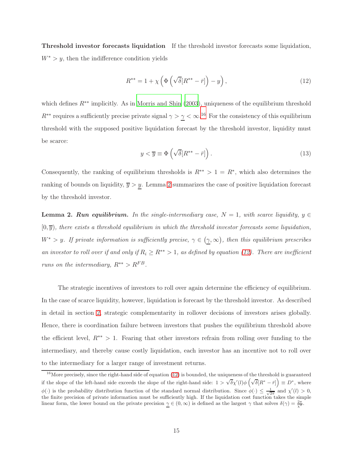Threshold investor forecasts liquidation If the threshold investor forecasts some liquidation,  $W^*$  > y, then the indifference condition yields

<span id="page-17-2"></span>
$$
R^{**} = 1 + \chi \left( \Phi \left( \sqrt{\delta} [R^{**} - \bar{r}] \right) - y \right), \qquad (12)
$$

which defines  $R^{**}$  implicitly. As in [Morris and Shin \(2003\)](#page-39-4), uniqueness of the equilibrium threshold  $R^{**}$  requires a sufficiently precise private signal  $\gamma > \gamma < \infty$ .<sup>[16](#page-17-1)</sup> For the consistency of this equilibrium threshold with the supposed positive liquidation forecast by the threshold investor, liquidity must be scarce:

<span id="page-17-3"></span>
$$
y < \overline{y} \equiv \Phi\left(\sqrt{\delta} [R^{**} - \overline{r}] \right). \tag{13}
$$

Consequently, the ranking of equilibrium thresholds is  $R^{**} > 1 = R^*$ , which also determines the ranking of bounds on liquidity,  $\overline{y} > y$ . Lemma [2](#page-17-0) summarizes the case of positive liquidation forecast by the threshold investor.

<span id="page-17-0"></span>**Lemma 2. Run equilibrium.** In the single-intermediary case,  $N = 1$ , with scarce liquidity,  $y \in$  $[0, \overline{y})$ , there exists a threshold equilibrium in which the threshold investor forecasts some liquidation,  $W^*$  > y. If private information is sufficiently precise,  $\gamma \in (\underline{\gamma}, \infty)$ , then this equilibrium prescribes an investor to roll over if and only if  $R_i \geq R^{**} > 1$ , as defined by equation [\(12\)](#page-17-2). There are inefficient runs on the intermediary,  $R^{**} > R^{FB}$ .

The strategic incentives of investors to roll over again determine the efficiency of equilibrium. In the case of scarce liquidity, however, liquidation is forecast by the threshold investor. As described in detail in section [2,](#page-9-0) strategic complementarity in rollover decisions of investors arises globally. Hence, there is coordination failure between investors that pushes the equilibrium threshold above the efficient level,  $R^{**} > 1$ . Fearing that other investors refrain from rolling over funding to the intermediary, and thereby cause costly liquidation, each investor has an incentive not to roll over to the intermediary for a larger range of investment returns.

<span id="page-17-1"></span> $16$ More precisely, since the right-hand side of equation [\(12\)](#page-17-2) is bounded, the uniqueness of the threshold is guaranteed if the slope of the left-hand side exceeds the slope of the right-hand side:  $1 > \sqrt{\delta} \chi'(l) \phi \left( \sqrt{\delta} [R^* - \bar{r}] \right) \equiv D^*$ , where  $\phi(\cdot)$  is the probability distribution function of the standard normal distribution. Since  $\phi(\cdot) \leq \frac{1}{\sqrt{2\pi}}$  and  $\chi'(l) > 0$ , the finite precision of private information must be sufficiently high. If the liquidation cost function takes the simple linear form, the lower bound on the private precision  $\gamma \in (0, \infty)$  is defined as the largest  $\gamma$  that solves  $\delta(\gamma) = \frac{2\pi}{\chi^2}$ .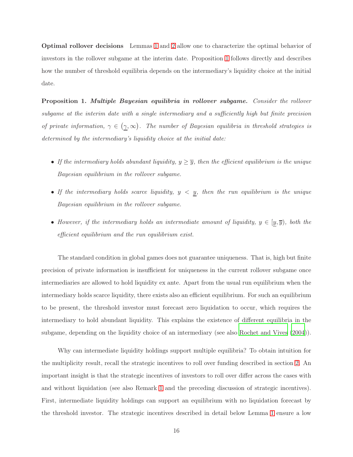Optimal rollover decisions Lemmas [1](#page-16-0) and [2](#page-17-0) allow one to characterize the optimal behavior of investors in the rollover subgame at the interim date. Proposition [1](#page-18-0) follows directly and describes how the number of threshold equilibria depends on the intermediary's liquidity choice at the initial date.

<span id="page-18-0"></span>Proposition 1. Multiple Bayesian equilibria in rollover subgame. Consider the rollover subgame at the interim date with a single intermediary and a sufficiently high but finite precision of private information,  $\gamma \in (\gamma, \infty)$ . The number of Bayesian equilibria in threshold strategies is determined by the intermediary's liquidity choice at the initial date:

- If the intermediary holds abundant liquidity,  $y \geq \overline{y}$ , then the efficient equilibrium is the unique Bayesian equilibrium in the rollover subgame.
- If the intermediary holds scarce liquidity,  $y < y$ , then the run equilibrium is the unique Bayesian equilibrium in the rollover subgame.
- However, if the intermediary holds an intermediate amount of liquidity,  $y \in [y, \overline{y})$ , both the efficient equilibrium and the run equilibrium exist.

The standard condition in global games does not guarantee uniqueness. That is, high but finite precision of private information is insufficient for uniqueness in the current rollover subgame once intermediaries are allowed to hold liquidity ex ante. Apart from the usual run equilibrium when the intermediary holds scarce liquidity, there exists also an efficient equilibrium. For such an equilibrium to be present, the threshold investor must forecast zero liquidation to occur, which requires the intermediary to hold abundant liquidity. This explains the existence of different equilibria in the subgame, depending on the liquidity choice of an intermediary (see also [Rochet and Vives \(2004](#page-40-2))).

Why can intermediate liquidity holdings support multiple equilibria? To obtain intuition for the multiplicity result, recall the strategic incentives to roll over funding described in section [2.](#page-9-0) An important insight is that the strategic incentives of investors to roll over differ across the cases with and without liquidation (see also Remark [1](#page-13-0) and the preceding discussion of strategic incentives). First, intermediate liquidity holdings can support an equilibrium with no liquidation forecast by the threshold investor. The strategic incentives described in detail below Lemma [1](#page-16-0) ensure a low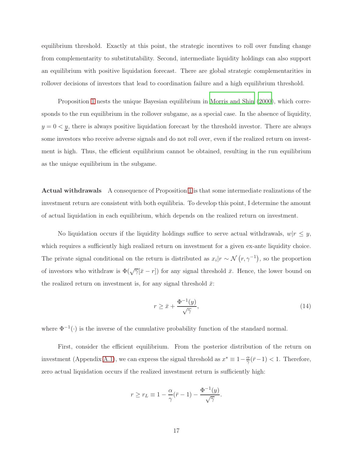equilibrium threshold. Exactly at this point, the strategic incentives to roll over funding change from complementarity to substitutability. Second, intermediate liquidity holdings can also support an equilibrium with positive liquidation forecast. There are global strategic complementarities in rollover decisions of investors that lead to coordination failure and a high equilibrium threshold.

Proposition [1](#page-18-0) nests the unique Bayesian equilibrium in [Morris and Shin \(2000\)](#page-39-5), which corresponds to the run equilibrium in the rollover subgame, as a special case. In the absence of liquidity,  $y = 0 < y$ , there is always positive liquidation forecast by the threshold investor. There are always some investors who receive adverse signals and do not roll over, even if the realized return on investment is high. Thus, the efficient equilibrium cannot be obtained, resulting in the run equilibrium as the unique equilibrium in the subgame.

Actual withdrawals A consequence of Proposition [1](#page-18-0) is that some intermediate realizations of the investment return are consistent with both equilibria. To develop this point, I determine the amount of actual liquidation in each equilibrium, which depends on the realized return on investment.

No liquidation occurs if the liquidity holdings suffice to serve actual withdrawals,  $w|r \leq y$ , which requires a sufficiently high realized return on investment for a given ex-ante liquidity choice. The private signal conditional on the return is distributed as  $x_i | r \sim \mathcal{N}(r, \gamma^{-1})$ , so the proportion of investors who withdraw is  $\Phi(\sqrt{\gamma}[\bar{x} - r])$  for any signal threshold  $\bar{x}$ . Hence, the lower bound on the realized return on investment is, for any signal threshold  $\bar{x}$ :

$$
r \ge \bar{x} + \frac{\Phi^{-1}(y)}{\sqrt{\gamma}},\tag{14}
$$

where  $\Phi^{-1}(\cdot)$  is the inverse of the cumulative probability function of the standard normal.

First, consider the efficient equilibrium. From the posterior distribution of the return on investment (Appendix [A.1\)](#page-41-0), we can express the signal threshold as  $x^* \equiv 1 - \frac{\alpha}{\gamma}$  $\frac{\alpha}{\gamma}(\bar{r}-1) < 1$ . Therefore, zero actual liquidation occurs if the realized investment return is sufficiently high:

$$
r \ge r_L \equiv 1 - \frac{\alpha}{\gamma}(\bar{r} - 1) - \frac{\Phi^{-1}(y)}{\sqrt{\gamma}}.
$$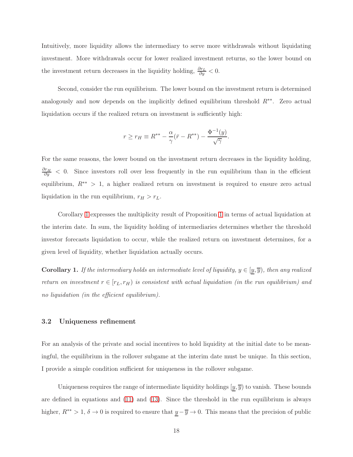Intuitively, more liquidity allows the intermediary to serve more withdrawals without liquidating investment. More withdrawals occur for lower realized investment returns, so the lower bound on the investment return decreases in the liquidity holding,  $\frac{\partial r_L}{\partial y} < 0$ .

Second, consider the run equilibrium. The lower bound on the investment return is determined analogously and now depends on the implicitly defined equilibrium threshold  $R^{**}$ . Zero actual liquidation occurs if the realized return on investment is sufficiently high:

$$
r \ge r_H \equiv R^{**} - \frac{\alpha}{\gamma} (\bar{r} - R^{**}) - \frac{\Phi^{-1}(y)}{\sqrt{\gamma}}.
$$

For the same reasons, the lower bound on the investment return decreases in the liquidity holding,  $\frac{\partial r_H}{\partial y}$  < 0. Since investors roll over less frequently in the run equilibrium than in the efficient equilibrium,  $R^{**} > 1$ , a higher realized return on investment is required to ensure zero actual liquidation in the run equilibrium,  $r_H > r_L$ .

Corollary [1](#page-20-0) expresses the multiplicity result of Proposition [1](#page-18-0) in terms of actual liquidation at the interim date. In sum, the liquidity holding of intermediaries determines whether the threshold investor forecasts liquidation to occur, while the realized return on investment determines, for a given level of liquidity, whether liquidation actually occurs.

<span id="page-20-0"></span>**Corollary 1.** If the intermediary holds an intermediate level of liquidity,  $y \in [y, \overline{y})$ , then any realized return on investment  $r \in [r_L, r_H)$  is consistent with actual liquidation (in the run equilibrium) and no liquidation (in the efficient equilibrium).

#### 3.2 Uniqueness refinement

For an analysis of the private and social incentives to hold liquidity at the initial date to be meaningful, the equilibrium in the rollover subgame at the interim date must be unique. In this section, I provide a simple condition sufficient for uniqueness in the rollover subgame.

Uniqueness requires the range of intermediate liquidity holdings  $[\underline{y}, \overline{y}]$  to vanish. These bounds are defined in equations and [\(11\)](#page-16-2) and [\(13\)](#page-17-3). Since the threshold in the run equilibrium is always higher,  $R^{**} > 1$ ,  $\delta \to 0$  is required to ensure that  $\underline{y} - \overline{y} \to 0$ . This means that the precision of public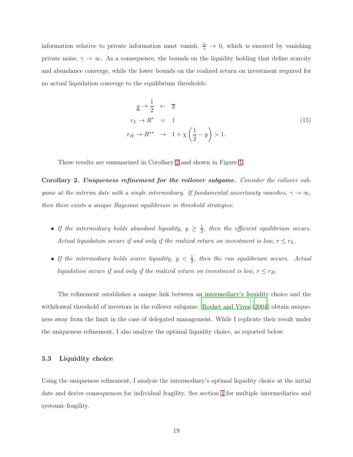information relative to private information must vanish,  $\frac{\alpha}{\gamma} \to 0$ , which is ensured by vanishing private noise,  $\gamma \to \infty$ . As a consequence, the bounds on the liquidity holding that define scarcity and abundance converge, while the lower bounds on the realized return on investment required for no actual liquidation converge to the equilibrium thresholds:

$$
\underline{y} \to \frac{1}{2} \leftarrow \overline{y}
$$
\n
$$
r_L \to R^* = 1
$$
\n
$$
r_H \to R^{**} \to 1 + \chi \left(\frac{1}{2} - y\right) > 1.
$$
\n
$$
(15)
$$

These results are summarized in Corollary [2](#page-21-0) and shown in Figure [1.](#page-22-0)

<span id="page-21-0"></span>Corollary 2. Uniqueness refinement for the rollover subgame. Consider the rollover subgame at the interim date with a single intermediary. If fundamental uncertainty vanishes,  $\gamma \to \infty$ , then there exists a unique Bayesian equilibrium in threshold strategies:

- If the intermediary holds abundant liquidity,  $y \geq \frac{1}{2}$  $\frac{1}{2}$ , then the efficient equilibrium occurs. Actual liquidation occurs if and only if the realized return on investment is low,  $r \leq r_L$ .
- If the intermediary holds scarce liquidity,  $y < \frac{1}{2}$ , then the run equilibrium occurs. Actual liquidation occurs if and only if the realized return on investment is low,  $r \leq r_H$ .

The refinement establishes a unique link between an intermediary's liquidity choice and the withdrawal threshold of investors in the rollover subgame. [Rochet and Vives \(2004](#page-40-2)) obtain uniqueness away from the limit in the case of delegated management. While I replicate their result under the uniqueness refinement, I also analyze the optimal liquidity choice, as reported below.

#### 3.3 Liquidity choice

Using the uniqueness refinement, I analyze the intermediary's optimal liquidity choice at the initial date and derive consequences for individual fragility. See section [4](#page-26-1) for multiple intermediaries and systemic fragility.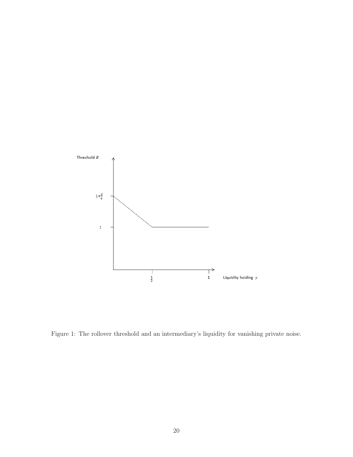

<span id="page-22-0"></span>Figure 1: The rollover threshold and an intermediary's liquidity for vanishing private noise.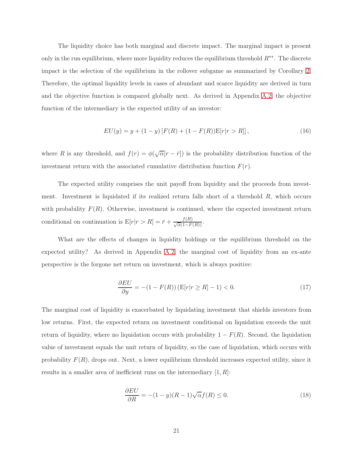The liquidity choice has both marginal and discrete impact. The marginal impact is present only in the run equilibrium, where more liquidity reduces the equilibrium threshold  $R^{**}$ . The discrete impact is the selection of the equilibrium in the rollover subgame as summarized by Corollary [2.](#page-21-0) Therefore, the optimal liquidity levels in cases of abundant and scarce liquidity are derived in turn and the objective function is compared globally next. As derived in Appendix [A.2,](#page-42-0) the objective function of the intermediary is the expected utility of an investor:

$$
EU(y) = y + (1 - y) [F(R) + (1 - F(R))E[r|r > R]],
$$
\n(16)

where R is any threshold, and  $f(r) = \phi(\sqrt{\alpha}[r - \bar{r}])$  is the probability distribution function of the investment return with the associated cumulative distribution function  $F(r)$ .

The expected utility comprises the unit payoff from liquidity and the proceeds from investment. Investment is liquidated if its realized return falls short of a threshold  $R$ , which occurs with probability  $F(R)$ . Otherwise, investment is continued, where the expected investment return conditional on continuation is  $E[r|r > R] = \bar{r} + \frac{f(R)}{\sqrt{\alpha}(1 - F(R))}$ .

What are the effects of changes in liquidity holdings or the equilibrium threshold on the expected utility? As derived in Appendix [A.2,](#page-42-0) the marginal cost of liquidity from an ex-ante perspective is the forgone net return on investment, which is always positive:

$$
\frac{\partial EU}{\partial y} = -(1 - F(R)) \left( \mathcal{E}[r|r \ge R] - 1 \right) < 0. \tag{17}
$$

The marginal cost of liquidity is exacerbated by liquidating investment that shields investors from low returns. First, the expected return on investment conditional on liquidation exceeds the unit return of liquidity, where no liquidation occurs with probability  $1 - F(R)$ . Second, the liquidation value of investment equals the unit return of liquidity, so the case of liquidation, which occurs with probability  $F(R)$ , drops out. Next, a lower equilibrium threshold increases expected utility, since it results in a smaller area of inefficient runs on the intermediary  $[1, R]$ :

$$
\frac{\partial EU}{\partial R} = -(1 - y)(R - 1)\sqrt{\alpha}f(R) \le 0.
$$
\n(18)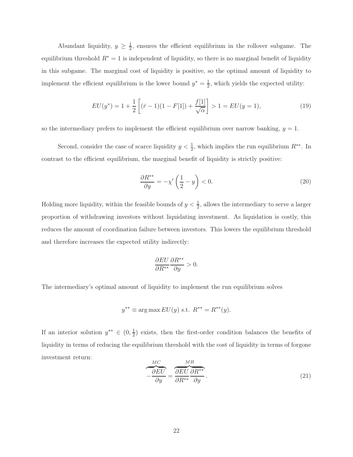Abundant liquidity,  $y \geq \frac{1}{2}$ , ensures the efficient equilibrium in the rollover subgame. The equilibrium threshold  $R^* = 1$  is independent of liquidity, so there is no marginal benefit of liquidity in this subgame. The marginal cost of liquidity is positive, so the optimal amount of liquidity to implement the efficient equilibrium is the lower bound  $y^* = \frac{1}{2}$ , which yields the expected utility:

$$
EU(y^*) = 1 + \frac{1}{2} \left[ (\bar{r} - 1)(1 - F[1]) + \frac{f[1]}{\sqrt{\alpha}} \right] > 1 = EU(y = 1), \tag{19}
$$

so the intermediary prefers to implement the efficient equilibrium over narrow banking,  $y = 1$ .

Second, consider the case of scarce liquidity  $y < \frac{1}{2}$ , which implies the run equilibrium  $R^{**}$ . In contrast to the efficient equilibrium, the marginal benefit of liquidity is strictly positive:

$$
\frac{\partial R^{**}}{\partial y} = -\chi' \left(\frac{1}{2} - y\right) < 0. \tag{20}
$$

Holding more liquidity, within the feasible bounds of  $y < \frac{1}{2}$ , allows the intermediary to serve a larger proportion of withdrawing investors without liquidating investment. As liquidation is costly, this reduces the amount of coordination failure between investors. This lowers the equilibrium threshold and therefore increases the expected utility indirectly:

$$
\frac{\partial EU}{\partial R^{**}} \frac{\partial R^{**}}{\partial y} > 0.
$$

The intermediary's optimal amount of liquidity to implement the run equilibrium solves

$$
y^{**} \equiv \arg \max EU(y) \text{ s.t. } R^{**} = R^{**}(y).
$$

If an interior solution  $y^{**} \in (0, \frac{1}{2})$  $\frac{1}{2}$ ) exists, then the first-order condition balances the benefits of liquidity in terms of reducing the equilibrium threshold with the cost of liquidity in terms of forgone investment return:

<span id="page-24-0"></span>
$$
\frac{MC}{-\frac{\partial EU}{\partial y}} = \frac{\frac{MB}{\partial EU}}{\frac{\partial RV}{\partial R^{**}}} \frac{\partial R^{**}}{\partial y}.
$$
\n(21)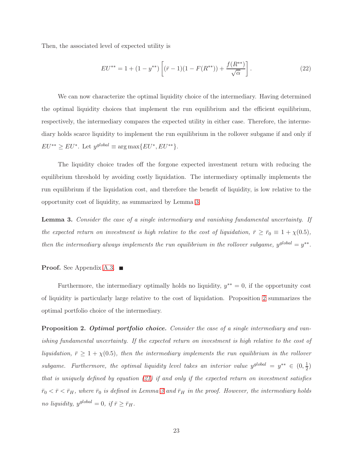Then, the associated level of expected utility is

<span id="page-25-2"></span>
$$
EU^{**} = 1 + (1 - y^{**}) \left[ (\bar{r} - 1)(1 - F(R^{**})) + \frac{f(R^{**})}{\sqrt{\alpha}} \right]. \tag{22}
$$

We can now characterize the optimal liquidity choice of the intermediary. Having determined the optimal liquidity choices that implement the run equilibrium and the efficient equilibrium, respectively, the intermediary compares the expected utility in either case. Therefore, the intermediary holds scarce liquidity to implement the run equilibrium in the rollover subgame if and only if  $EU^{**} \geq EU^*$ . Let  $y^{global} \equiv \arg \max \{EU^*, EU^{**}\}.$ 

The liquidity choice trades off the forgone expected investment return with reducing the equilibrium threshold by avoiding costly liquidation. The intermediary optimally implements the run equilibrium if the liquidation cost, and therefore the benefit of liquidity, is low relative to the opportunity cost of liquidity, as summarized by Lemma [3.](#page-25-1)

<span id="page-25-1"></span>Lemma 3. Consider the case of a single intermediary and vanishing fundamental uncertainty. If the expected return on investment is high relative to the cost of liquidation,  $\bar{r} \geq \bar{r}_0 \equiv 1 + \chi(0.5)$ , then the intermediary always implements the run equilibrium in the rollover subgame,  $y^{global} = y^{**}$ .

#### **Proof.** See Appendix [A.3.](#page-43-0)  $\blacksquare$

Furthermore, the intermediary optimally holds no liquidity,  $y^{**} = 0$ , if the opportunity cost of liquidity is particularly large relative to the cost of liquidation. Proposition [2](#page-25-0) summarizes the optimal portfolio choice of the intermediary.

<span id="page-25-0"></span>**Proposition 2. Optimal portfolio choice.** Consider the case of a single intermediary and vanishing fundamental uncertainty. If the expected return on investment is high relative to the cost of liquidation,  $\bar{r} \geq 1 + \chi(0.5)$ , then the intermediary implements the run equilibrium in the rollover subgame. Furthermore, the optimal liquidity level takes an interior value  $y^{global} = y^{**} \in (0, \frac{1}{2})$  $(\frac{1}{2})$ that is uniquely defined by equation  $(21)$  if and only if the expected return on investment satisfies  $\bar{r}_0 < \bar{r} < \bar{r}_H$ , where  $\bar{r}_0$  is defined in Lemma [3](#page-25-1) and  $\bar{r}_H$  in the proof. However, the intermediary holds no liquidity,  $y^{global} = 0$ , if  $\bar{r} \geq \bar{r}_H$ .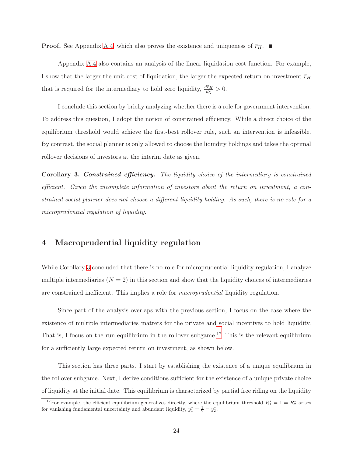**Proof.** See Appendix [A.4,](#page-43-1) which also proves the existence and uniqueness of  $\bar{r}_H$ .

Appendix [A.4](#page-43-1) also contains an analysis of the linear liquidation cost function. For example, I show that the larger the unit cost of liquidation, the larger the expected return on investment  $\bar{r}_H$ that is required for the intermediary to hold zero liquidity,  $\frac{d\bar{r}_H}{dx} > 0$ .

I conclude this section by briefly analyzing whether there is a role for government intervention. To address this question, I adopt the notion of constrained efficiency. While a direct choice of the equilibrium threshold would achieve the first-best rollover rule, such an intervention is infeasible. By contrast, the social planner is only allowed to choose the liquidity holdings and takes the optimal rollover decisions of investors at the interim date as given.

<span id="page-26-0"></span>Corollary 3. Constrained efficiency. The liquidity choice of the intermediary is constrained efficient. Given the incomplete information of investors about the return on investment, a constrained social planner does not choose a different liquidity holding. As such, there is no role for a microprudential regulation of liquidity.

#### <span id="page-26-1"></span>4 Macroprudential liquidity regulation

While Corollary [3](#page-26-0) concluded that there is no role for microprudential liquidity regulation, I analyze multiple intermediaries  $(N = 2)$  in this section and show that the liquidity choices of intermediaries are constrained inefficient. This implies a role for macroprudential liquidity regulation.

Since part of the analysis overlaps with the previous section, I focus on the case where the existence of multiple intermediaries matters for the private and social incentives to hold liquidity. That is, I focus on the run equilibrium in the rollover subgame.<sup>[17](#page-26-2)</sup> This is the relevant equilibrium for a sufficiently large expected return on investment, as shown below.

This section has three parts. I start by establishing the existence of a unique equilibrium in the rollover subgame. Next, I derive conditions sufficient for the existence of a unique private choice of liquidity at the initial date. This equilibrium is characterized by partial free riding on the liquidity

<span id="page-26-2"></span><sup>&</sup>lt;sup>17</sup>For example, the efficient equilibrium generalizes directly, where the equilibrium threshold  $R_1^* = 1 = R_2^*$  arises for vanishing fundamental uncertainty and abundant liquidity,  $y_1^* = \frac{1}{2} = y_2^*$ .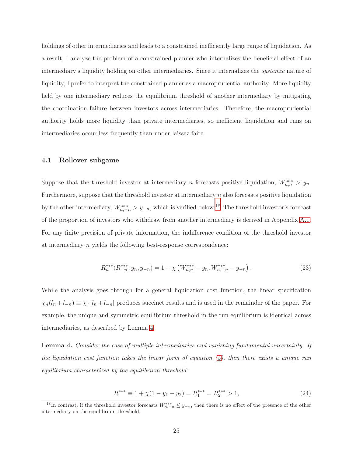holdings of other intermediaries and leads to a constrained inefficiently large range of liquidation. As a result, I analyze the problem of a constrained planner who internalizes the beneficial effect of an intermediary's liquidity holding on other intermediaries. Since it internalizes the systemic nature of liquidity, I prefer to interpret the constrained planner as a macroprudential authority. More liquidity held by one intermediary reduces the equilibrium threshold of another intermediary by mitigating the coordination failure between investors across intermediaries. Therefore, the macroprudential authority holds more liquidity than private intermediaries, so inefficient liquidation and runs on intermediaries occur less frequently than under laissez-faire.

#### 4.1 Rollover subgame

Suppose that the threshold investor at intermediary n forecasts positive liquidation,  $W_{n,n}^{***} > y_n$ . Furthermore, suppose that the threshold investor at intermediary  $n$  also forecasts positive liquidation by the other intermediary,  $W_{n,-n}^{***} > y_{-n}$ , which is verified below.<sup>[18](#page-27-0)</sup> The threshold investor's forecast of the proportion of investors who withdraw from another intermediary is derived in Appendix [A.1.](#page-41-0) For any finite precision of private information, the indifference condition of the threshold investor at intermediary n yields the following best-response correspondence:

<span id="page-27-2"></span>
$$
R_n^{***}(R_{-n}^{***}; y_n, y_{-n}) = 1 + \chi \left( W_{n,n}^{***} - y_n, W_{n,-n}^{***} - y_{-n} \right). \tag{23}
$$

While the analysis goes through for a general liquidation cost function, the linear specification  $\chi_n(l_n + l_{-n}) \equiv \chi \cdot [l_n + l_{-n}]$  produces succinct results and is used in the remainder of the paper. For example, the unique and symmetric equilibrium threshold in the run equilibrium is identical across intermediaries, as described by Lemma [4.](#page-27-1)

<span id="page-27-1"></span>Lemma 4. Consider the case of multiple intermediaries and vanishing fundamental uncertainty. If the liquidation cost function takes the linear form of equation [\(5\)](#page-11-1), then there exists a unique run equilibrium characterized by the equilibrium threshold:

$$
R^{***} \equiv 1 + \chi(1 - y_1 - y_2) = R_1^{***} = R_2^{***} > 1,
$$
\n(24)

<span id="page-27-0"></span><sup>&</sup>lt;sup>18</sup>In contrast, if the threshold investor forecasts  $W^{***}_{n,-n} \leq y_{-n}$ , then there is no effect of the presence of the other intermediary on the equilibrium threshold.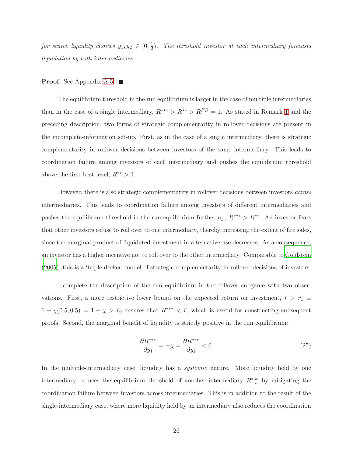for scarce liquidity choices  $y_1, y_2 \in [0, \frac{1}{2}]$  $\frac{1}{2}$ ). The threshold investor at each intermediary forecasts liquidation by both intermediaries.

#### **Proof.** See Appendix [A.5.](#page-45-0)  $\blacksquare$

The equilibrium threshold in the run equilibrium is larger in the case of multiple intermediaries than in the case of a single intermediary,  $R^{***} > R^{**} > R^{FB} = 1$  $R^{***} > R^{**} > R^{FB} = 1$ . As stated in Remark 1 and the preceding description, two forms of strategic complementarity in rollover decisions are present in the incomplete-information set-up. First, as in the case of a single intermediary, there is strategic complementarity in rollover decisions between investors of the same intermediary. This leads to coordination failure among investors of each intermediary and pushes the equilibrium threshold above the first-best level,  $R^{**} > 1$ .

However, there is also strategic complementarity in rollover decisions between investors across intermediaries. This leads to coordination failure among investors of different intermediaries and pushes the equilibrium threshold in the run equilibrium further up,  $R^{***} > R^{**}$ . An investor fears that other investors refuse to roll over to one intermediary, thereby increasing the extent of fire sales, since the marginal product of liquidated investment in alternative use decreases. As a consequence, an investor has a higher incentive not to roll over to the other intermediary. Comparable to [Goldstein](#page-39-12) [\(2005\)](#page-39-12), this is a 'triple-decker' model of strategic complementarity in rollover decisions of investors.

I complete the description of the run equilibrium in the rollover subgame with two observations. First, a more restrictive lower bound on the expected return on investment,  $\bar{r} > \bar{r}_1 \equiv$  $1 + \chi(0.5, 0.5) = 1 + \chi > \bar{r}_0$  ensures that  $R^{***} < \bar{r}$ , which is useful for constructing subsequent proofs. Second, the marginal benefit of liquidity is strictly positive in the run equilibrium:

$$
\frac{\partial R^{***}}{\partial y_1} = -\chi = \frac{\partial R^{***}}{\partial y_2} < 0. \tag{25}
$$

In the multiple-intermediary case, liquidity has a *systemic* nature. More liquidity held by one intermediary reduces the equilibrium threshold of another intermediary  $R_{-n}^{***}$  by mitigating the coordination failure between investors across intermediaries. This is in addition to the result of the single-intermediary case, where more liquidity held by an intermediary also reduces the coordination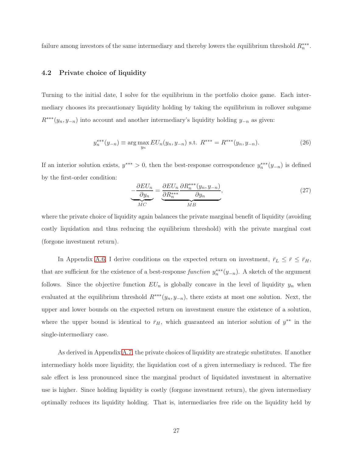failure among investors of the same intermediary and thereby lowers the equilibrium threshold  $R_n^{***}$ .

#### 4.2 Private choice of liquidity

Turning to the initial date, I solve for the equilibrium in the portfolio choice game. Each intermediary chooses its precautionary liquidity holding by taking the equilibrium in rollover subgame  $R^{***}(y_n, y_{-n})$  into account and another intermediary's liquidity holding  $y_{-n}$  as given:

$$
y_n^{***}(y_{-n}) \equiv \arg \max_{y_n} EU_n(y_n, y_{-n}) \text{ s.t. } R^{***} = R^{***}(y_n, y_{-n}).
$$
 (26)

If an interior solution exists,  $y^{***} > 0$ , then the best-response correspondence  $y_n^{***}(y_{-n})$  is defined by the first-order condition:

$$
\underbrace{-\frac{\partial EU_n}{\partial y_n}}_{MC} = \underbrace{\frac{\partial EU_n}{\partial R_n^{***}} \frac{\partial R_n^{***}(y_n, y_{-n})}{\partial y_n}}_{MB},
$$
\n(27)

where the private choice of liquidity again balances the private marginal benefit of liquidity (avoiding costly liquidation and thus reducing the equilibrium threshold) with the private marginal cost (forgone investment return).

In Appendix [A.6,](#page-46-0) I derive conditions on the expected return on investment,  $\bar{r}_L \leq \bar{r} \leq \bar{r}_H$ , that are sufficient for the existence of a best-response  $function y_n^{***}(y_{-n})$ . A sketch of the argument follows. Since the objective function  $EU_n$  is globally concave in the level of liquidity  $y_n$  when evaluated at the equilibrium threshold  $R^{***}(y_n, y_{-n})$ , there exists at most one solution. Next, the upper and lower bounds on the expected return on investment ensure the existence of a solution, where the upper bound is identical to  $\bar{r}_H$ , which guaranteed an interior solution of  $y^{**}$  in the single-intermediary case.

As derived in Appendix [A.7,](#page-48-0) the private choices of liquidity are strategic substitutes. If another intermediary holds more liquidity, the liquidation cost of a given intermediary is reduced. The fire sale effect is less pronounced since the marginal product of liquidated investment in alternative use is higher. Since holding liquidity is costly (forgone investment return), the given intermediary optimally reduces its liquidity holding. That is, intermediaries free ride on the liquidity held by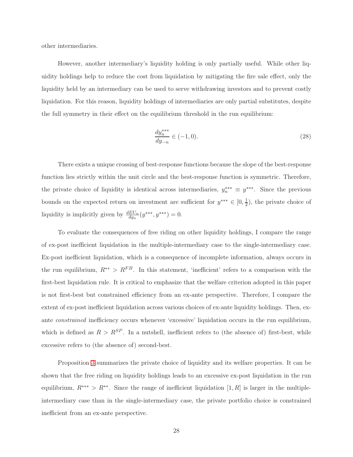other intermediaries.

However, another intermediary's liquidity holding is only partially useful. While other liquidity holdings help to reduce the cost from liquidation by mitigating the fire sale effect, only the liquidity held by an intermediary can be used to serve withdrawing investors and to prevent costly liquidation. For this reason, liquidity holdings of intermediaries are only partial substitutes, despite the full symmetry in their effect on the equilibrium threshold in the run equilibrium:

$$
\frac{dy_n^{***}}{dy_{-n}} \in (-1,0). \tag{28}
$$

There exists a unique crossing of best-response functions because the slope of the best-response function lies strictly within the unit circle and the best-response function is symmetric. Therefore, the private choice of liquidity is identical across intermediaries,  $y_n^{***} \equiv y^{***}$ . Since the previous bounds on the expected return on investment are sufficient for  $y^{***} \in [0, \frac{1}{2}]$  $(\frac{1}{2})$ , the private choice of liquidity is implicitly given by  $\frac{dEU_n}{dy_n}(y^{***}, y^{***}) = 0.$ 

To evaluate the consequences of free riding on other liquidity holdings, I compare the range of ex-post inefficient liquidation in the multiple-intermediary case to the single-intermediary case. Ex-post inefficient liquidation, which is a consequence of incomplete information, always occurs in the run equilibrium,  $R^{**} > R^{FB}$ . In this statement, 'inefficient' refers to a comparison with the first-best liquidation rule. It is critical to emphasize that the welfare criterion adopted in this paper is not first-best but constrained efficiency from an ex-ante perspective. Therefore, I compare the extent of ex-post inefficient liquidation across various choices of ex-ante liquidity holdings. Then, exante constrained inefficiency occurs whenever 'excessive' liquidation occurs in the run equilibrium, which is defined as  $R > R^{SP}$ . In a nutshell, inefficient refers to (the absence of) first-best, while excessive refers to (the absence of) second-best.

Proposition [3](#page-31-0) summarizes the private choice of liquidity and its welfare properties. It can be shown that the free riding on liquidity holdings leads to an excessive ex-post liquidation in the run equilibrium,  $R^{***} > R^{**}$ . Since the range of inefficient liquidation  $[1, R]$  is larger in the multipleintermediary case than in the single-intermediary case, the private portfolio choice is constrained inefficient from an ex-ante perspective.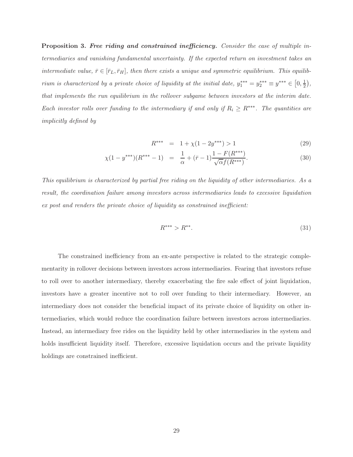<span id="page-31-0"></span>Proposition 3. Free riding and constrained inefficiency. Consider the case of multiple intermediaries and vanishing fundamental uncertainty. If the expected return on investment takes an intermediate value,  $\bar{r} \in [\bar{r}_L, \bar{r}_H]$ , then there exists a unique and symmetric equilibrium. This equilibrium is characterized by a private choice of liquidity at the initial date,  $y_1^{***} = y_2^{***} \equiv y^{***} \in [0, \frac{1}{2}]$  $(\frac{1}{2})$ , that implements the run equilibrium in the rollover subgame between investors at the interim date. Each investor rolls over funding to the intermediary if and only if  $R_i \geq R^{***}$ . The quantities are implicitly defined by

$$
R^{***} = 1 + \chi(1 - 2y^{***}) > 1
$$
 (29)

$$
\chi(1 - y^{***})(R^{***} - 1) = \frac{1}{\alpha} + (\bar{r} - 1)\frac{1 - F(R^{***})}{\sqrt{\alpha}f(R^{***})}.
$$
\n(30)

This equilibrium is characterized by partial free riding on the liquidity of other intermediaries. As a result, the coordination failure among investors across intermediaries leads to excessive liquidation ex post and renders the private choice of liquidity as constrained inefficient:

$$
R^{***} > R^{**}.\tag{31}
$$

The constrained inefficiency from an ex-ante perspective is related to the strategic complementarity in rollover decisions between investors across intermediaries. Fearing that investors refuse to roll over to another intermediary, thereby exacerbating the fire sale effect of joint liquidation, investors have a greater incentive not to roll over funding to their intermediary. However, an intermediary does not consider the beneficial impact of its private choice of liquidity on other intermediaries, which would reduce the coordination failure between investors across intermediaries. Instead, an intermediary free rides on the liquidity held by other intermediaries in the system and holds insufficient liquidity itself. Therefore, excessive liquidation occurs and the private liquidity holdings are constrained inefficient.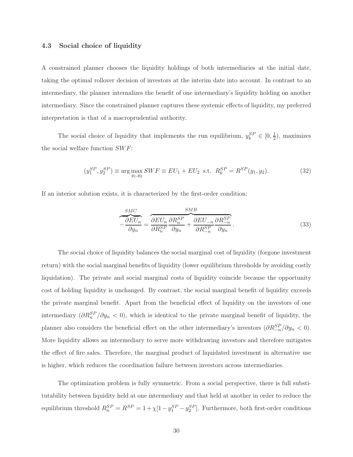#### 4.3 Social choice of liquidity

A constrained planner chooses the liquidity holdings of both intermediaries at the initial date, taking the optimal rollover decision of investors at the interim date into account. In contrast to an intermediary, the planner internalizes the benefit of one intermediary's liquidity holding on another intermediary. Since the constrained planner captures these systemic effects of liquidity, my preferred interpretation is that of a macroprudential authority.

The social choice of liquidity that implements the run equilibrium,  $y_k^{SP} \in [0, \frac{1}{2}]$  $(\frac{1}{2})$ , maximizes the social welfare function  $SWF$ :

$$
(y_1^{SP}, y_2^{SP}) \equiv \arg\max_{y_1, y_2} SWF \equiv EU_1 + EU_2 \text{ s.t. } R_k^{SP} = R^{SP}(y_1, y_2). \tag{32}
$$

If an interior solution exists, it is characterized by the first-order condition:

<span id="page-32-0"></span>
$$
\frac{SMC}{-\frac{\partial EU_n}{\partial y_n}} = \frac{\partial EU_n}{\partial R_n^{SP}} \frac{\partial R_n^{SP}}{\partial y_n} + \frac{\partial EU_{-n}}{\partial R_{-n}^{SP}} \frac{\partial R_{-n}^{SP}}{\partial y_n}.
$$
\n(33)

The social choice of liquidity balances the social marginal cost of liquidity (forgone investment return) with the social marginal benefits of liquidity (lower equilibrium thresholds by avoiding costly liquidation). The private and social marginal costs of liquidity coincide because the opportunity cost of holding liquidity is unchanged. By contrast, the social marginal benefit of liquidity exceeds the private marginal benefit. Apart from the beneficial effect of liquidity on the investors of one intermediary  $(\partial R_n^{SP}/\partial y_n < 0)$ , which is identical to the private marginal benefit of liquidity, the planner also considers the beneficial effect on the other intermediary's investors  $(\partial R_{-n}^{SP}/\partial y_n < 0)$ . More liquidity allows an intermediary to serve more withdrawing investors and therefore mitigates the effect of fire sales. Therefore, the marginal product of liquidated investment in alternative use is higher, which reduces the coordination failure between investors across intermediaries.

The optimization problem is fully symmetric. From a social perspective, there is full substitutability between liquidity held at one intermediary and that held at another in order to reduce the equilibrium threshold  $R_n^{SP} = R^{SP} = 1 + \chi[1 - y_1^{SP} - y_2^{SP}]$ . Furthermore, both first-order conditions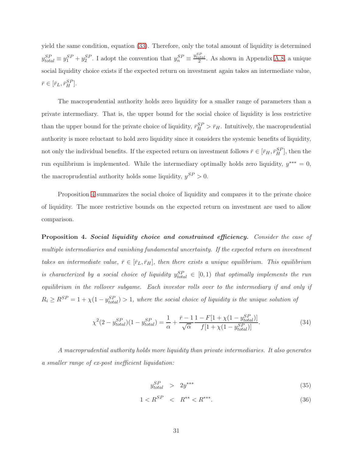yield the same condition, equation [\(33\)](#page-32-0). Therefore, only the total amount of liquidity is determined  $y_{total}^{SP} \equiv y_1^{SP} + y_2^{SP}$ . I adopt the convention that  $y_n^{SP} \equiv \frac{y_{total}^{SP}}{2}$ . As shown in Appendix [A.8,](#page-48-1) a unique social liquidity choice exists if the expected return on investment again takes an intermediate value,  $\bar{r} \in [\bar{r}_L, \bar{r}_H^{SP}].$ 

The macroprudential authority holds zero liquidity for a smaller range of parameters than a private intermediary. That is, the upper bound for the social choice of liquidity is less restrictive than the upper bound for the private choice of liquidity,  $\bar{r}_{H}^{SP} > \bar{r}_{H}$ . Intuitively, the macroprudential authority is more reluctant to hold zero liquidity since it considers the systemic benefits of liquidity, not only the individual benefits. If the expected return on investment follows  $\bar{r} \in [\bar{r}_H, \bar{r}_H^{SP}]$ , then the run equilibrium is implemented. While the intermediary optimally holds zero liquidity,  $y^{***} = 0$ , the macroprudential authority holds some liquidity,  $y^{SP} > 0$ .

Proposition [4](#page-33-0) summarizes the social choice of liquidity and compares it to the private choice of liquidity. The more restrictive bounds on the expected return on investment are used to allow comparison.

<span id="page-33-0"></span>Proposition 4. Social liquidity choice and constrained efficiency. Consider the case of multiple intermediaries and vanishing fundamental uncertainty. If the expected return on investment takes an intermediate value,  $\bar{r} \in [\bar{r}_L, \bar{r}_H]$ , then there exists a unique equilibrium. This equilibrium is characterized by a social choice of liquidity  $y_{total}^{SP} \in [0,1)$  that optimally implements the run equilibrium in the rollover subgame. Each investor rolls over to the intermediary if and only if  $R_i \ge R^{SP} = 1 + \chi(1 - y_{total}^{SP}) > 1$ , where the social choice of liquidity is the unique solution of

<span id="page-33-1"></span>
$$
\chi^2(2 - y_{total}^{SP})(1 - y_{total}^{SP}) = \frac{1}{\alpha} + \frac{\bar{r} - 1}{\sqrt{\alpha}} \frac{1 - F[1 + \chi(1 - y_{total}^{SP})]}{f[1 + \chi(1 - y_{total}^{SP})]}.
$$
(34)

A macroprudential authority holds more liquidity than private intermediaries. It also generates a smaller range of ex-post inefficient liquidation:

$$
y_{total}^{SP} > 2y^{***} \tag{35}
$$

$$
1 < R^{SP} < R^{**} < R^{***}.\tag{36}
$$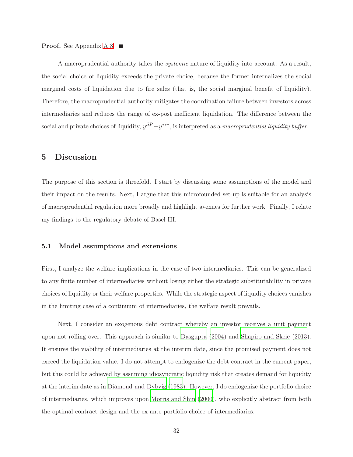#### **Proof.** See Appendix [A.8.](#page-48-1) ■

A macroprudential authority takes the systemic nature of liquidity into account. As a result, the social choice of liquidity exceeds the private choice, because the former internalizes the social marginal costs of liquidation due to fire sales (that is, the social marginal benefit of liquidity). Therefore, the macroprudential authority mitigates the coordination failure between investors across intermediaries and reduces the range of ex-post inefficient liquidation. The difference between the social and private choices of liquidity,  $y^{SP}-y^{***}$ , is interpreted as a macroprudential liquidity buffer.

#### <span id="page-34-0"></span>5 Discussion

The purpose of this section is threefold. I start by discussing some assumptions of the model and their impact on the results. Next, I argue that this microfounded set-up is suitable for an analysis of macroprudential regulation more broadly and highlight avenues for further work. Finally, I relate my findings to the regulatory debate of Basel III.

#### 5.1 Model assumptions and extensions

First, I analyze the welfare implications in the case of two intermediaries. This can be generalized to any finite number of intermediaries without losing either the strategic substitutability in private choices of liquidity or their welfare properties. While the strategic aspect of liquidity choices vanishes in the limiting case of a continuum of intermediaries, the welfare result prevails.

Next, I consider an exogenous debt contract whereby an investor receives a unit payment upon not rolling over. This approach is similar to [Dasgupta \(2004\)](#page-38-10) and [Shapiro and Skeie \(2013\)](#page-40-7). It ensures the viability of intermediaries at the interim date, since the promised payment does not exceed the liquidation value. I do not attempt to endogenize the debt contract in the current paper, but this could be achieved by assuming idiosyncratic liquidity risk that creates demand for liquidity at the interim date as in [Diamond and Dybvig \(1983](#page-38-7)). However, I do endogenize the portfolio choice of intermediaries, which improves upon [Morris and Shin \(2000\)](#page-39-5), who explicitly abstract from both the optimal contract design and the ex-ante portfolio choice of intermediaries.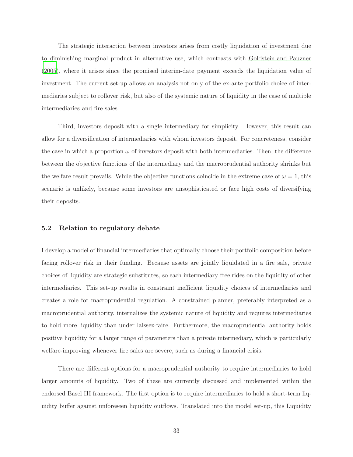The strategic interaction between investors arises from costly liquidation of investment due to diminishing marginal product in alternative use, which contrasts with [Goldstein and Pauzner](#page-39-9) [\(2005\)](#page-39-9), where it arises since the promised interim-date payment exceeds the liquidation value of investment. The current set-up allows an analysis not only of the ex-ante portfolio choice of intermediaries subject to rollover risk, but also of the systemic nature of liquidity in the case of multiple intermediaries and fire sales.

Third, investors deposit with a single intermediary for simplicity. However, this result can allow for a diversification of intermediaries with whom investors deposit. For concreteness, consider the case in which a proportion  $\omega$  of investors deposit with both intermediaries. Then, the difference between the objective functions of the intermediary and the macroprudential authority shrinks but the welfare result prevails. While the objective functions coincide in the extreme case of  $\omega = 1$ , this scenario is unlikely, because some investors are unsophisticated or face high costs of diversifying their deposits.

#### 5.2 Relation to regulatory debate

I develop a model of financial intermediaries that optimally choose their portfolio composition before facing rollover risk in their funding. Because assets are jointly liquidated in a fire sale, private choices of liquidity are strategic substitutes, so each intermediary free rides on the liquidity of other intermediaries. This set-up results in constraint inefficient liquidity choices of intermediaries and creates a role for macroprudential regulation. A constrained planner, preferably interpreted as a macroprudential authority, internalizes the systemic nature of liquidity and requires intermediaries to hold more liquidity than under laissez-faire. Furthermore, the macroprudential authority holds positive liquidity for a larger range of parameters than a private intermediary, which is particularly welfare-improving whenever fire sales are severe, such as during a financial crisis.

There are different options for a macroprudential authority to require intermediaries to hold larger amounts of liquidity. Two of these are currently discussed and implemented within the endorsed Basel III framework. The first option is to require intermediaries to hold a short-term liquidity buffer against unforeseen liquidity outflows. Translated into the model set-up, this Liquidity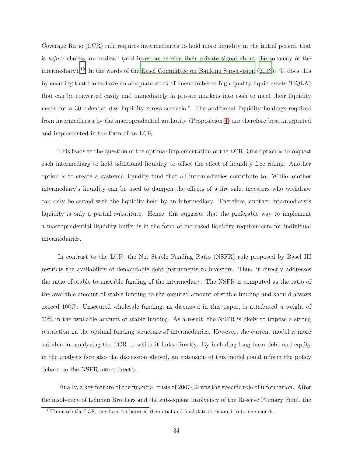Coverage Ratio (LCR) rule requires intermediaries to hold more liquidity in the initial period, that is before shocks are realized (and investors receive their private signal about the solvency of the intermediary).[19](#page-36-0) In the words of the [Basel Committee on Banking Supervision \(2013\)](#page-38-11): "It does this by ensuring that banks have an adequate stock of unencumbered high-quality liquid assets (HQLA) that can be converted easily and immediately in private markets into cash to meet their liquidity needs for a 30 calendar day liquidity stress scenario." The additional liquidity holdings required from intermediaries by the macroprudential authority (Proposition [4\)](#page-33-0) are therefore best interpreted and implemented in the form of an LCR.

This leads to the question of the optimal implementation of the LCR. One option is to request each intermediary to hold additional liquidity to offset the effect of liquidity free riding. Another option is to create a systemic liquidity fund that all intermediaries contribute to. While another intermediary's liquidity can be used to dampen the effects of a fire sale, investors who withdraw can only be served with the liquidity held by an intermediary. Therefore, another intermediary's liquidity is only a partial substitute. Hence, this suggests that the preferable way to implement a macroprudential liquidity buffer is in the form of increased liquidity requirements for individual intermediaries.

In contrast to the LCR, the Net Stable Funding Ratio (NSFR) rule proposed by Basel III restricts the availability of demandable debt instruments to investors. Thus, it directly addresses the ratio of stable to unstable funding of the intermediary. The NSFR is computed as the ratio of the available amount of stable funding to the required amount of stable funding and should always exceed 100%. Unsecured wholesale funding, as discussed in this paper, is attributed a weight of 50% in the available amount of stable funding. As a result, the NSFR is likely to impose a strong restriction on the optimal funding structure of intermediaries. However, the current model is more suitable for analyzing the LCR to which it links directly. By including long-term debt and equity in the analysis (see also the discussion above), an extension of this model could inform the policy debate on the NSFR more directly.

Finally, a key feature of the financial crisis of 2007-09 was the specific role of information. After the insolvency of Lehman Brothers and the subsequent insolvency of the Reserve Primary Fund, the

<span id="page-36-0"></span> $19$ To match the LCR, the duration between the initial and final date is required to be one month.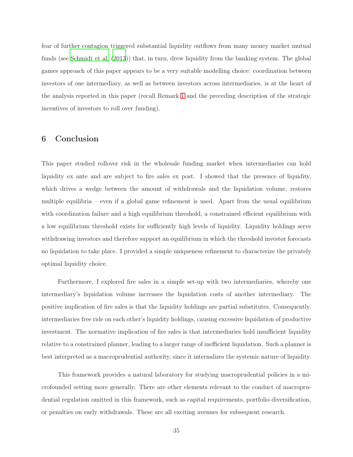fear of further contagion triggered substantial liquidity outflows from many money market mutual funds (see [Schmidt et al. \(2013](#page-40-0))) that, in turn, drew liquidity from the banking system. The global games approach of this paper appears to be a very suitable modelling choice: coordination between investors of one intermediary, as well as between investors across intermediaries, is at the heart of the analysis reported in this paper (recall Remark [1](#page-13-0) and the preceding description of the strategic incentives of investors to roll over funding).

#### 6 Conclusion

This paper studied rollover risk in the wholesale funding market when intermediaries can hold liquidity ex ante and are subject to fire sales ex post. I showed that the presence of liquidity, which drives a wedge between the amount of withdrawals and the liquidation volume, restores multiple equilibria – even if a global game refinement is used. Apart from the usual equilibrium with coordination failure and a high equilibrium threshold, a constrained efficient equilibrium with a low equilibrium threshold exists for sufficiently high levels of liquidity. Liquidity holdings serve withdrawing investors and therefore support an equilibrium in which the threshold investor forecasts no liquidation to take place. I provided a simple uniqueness refinement to characterize the privately optimal liquidity choice.

Furthermore, I explored fire sales in a simple set-up with two intermediaries, whereby one intermediary's liquidation volume increases the liquidation costs of another intermediary. The positive implication of fire sales is that the liquidity holdings are partial substitutes. Consequently, intermediaries free ride on each other's liquidity holdings, causing excessive liquidation of productive investment. The normative implication of fire sales is that intermediaries hold insufficient liquidity relative to a constrained planner, leading to a larger range of inefficient liquidation. Such a planner is best interpreted as a macroprudential authority, since it internalizes the systemic nature of liquidity.

This framework provides a natural laboratory for studying macroprudential policies in a microfounded setting more generally. There are other elements relevant to the conduct of macroprudential regulation omitted in this framework, such as capital requirements, portfolio diversification, or penalties on early withdrawals. These are all exciting avenues for subsequent research.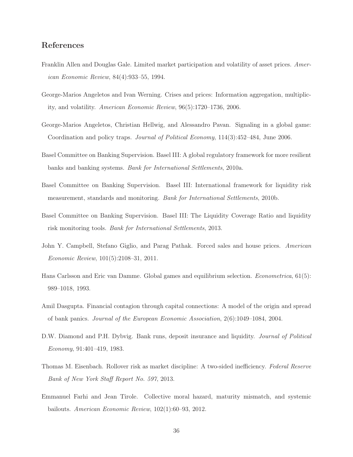## References

- <span id="page-38-2"></span>Franklin Allen and Douglas Gale. Limited market participation and volatility of asset prices. American Economic Review, 84(4):933–55, 1994.
- <span id="page-38-4"></span>George-Marios Angeletos and Ivan Werning. Crises and prices: Information aggregation, multiplicity, and volatility. American Economic Review, 96(5):1720–1736, 2006.
- <span id="page-38-3"></span>George-Marios Angeletos, Christian Hellwig, and Alessandro Pavan. Signaling in a global game: Coordination and policy traps. Journal of Political Economy, 114(3):452–484, June 2006.
- <span id="page-38-0"></span>Basel Committee on Banking Supervision. Basel III: A global regulatory framework for more resilient banks and banking systems. Bank for International Settlements, 2010a.
- <span id="page-38-1"></span>Basel Committee on Banking Supervision. Basel III: International framework for liquidity risk measurement, standards and monitoring. Bank for International Settlements, 2010b.
- <span id="page-38-11"></span>Basel Committee on Banking Supervision. Basel III: The Liquidity Coverage Ratio and liquidity risk monitoring tools. Bank for International Settlements, 2013.
- <span id="page-38-9"></span>John Y. Campbell, Stefano Giglio, and Parag Pathak. Forced sales and house prices. American Economic Review, 101(5):2108–31, 2011.
- <span id="page-38-6"></span>Hans Carlsson and Eric van Damme. Global games and equilibrium selection. Econometrica, 61(5): 989–1018, 1993.
- <span id="page-38-10"></span>Amil Dasgupta. Financial contagion through capital connections: A model of the origin and spread of bank panics. Journal of the European Economic Association, 2(6):1049–1084, 2004.
- <span id="page-38-7"></span>D.W. Diamond and P.H. Dybvig. Bank runs, deposit insurance and liquidity. *Journal of Political* Economy, 91:401–419, 1983.
- <span id="page-38-5"></span>Thomas M. Eisenbach. Rollover risk as market discipline: A two-sided inefficiency. Federal Reserve Bank of New York Staff Report No. 597, 2013.
- <span id="page-38-8"></span>Emmanuel Farhi and Jean Tirole. Collective moral hazard, maturity mismatch, and systemic bailouts. American Economic Review, 102(1):60–93, 2012.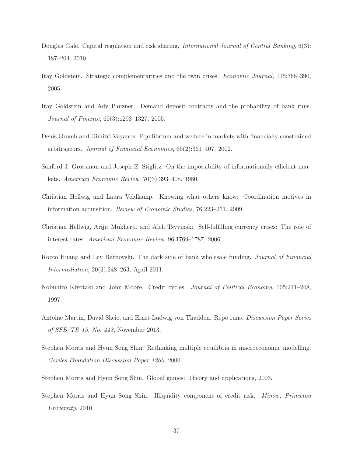- <span id="page-39-11"></span>Douglas Gale. Capital regulation and risk sharing. *International Journal of Central Banking*, 6(3): 187–204, 2010.
- <span id="page-39-12"></span>Itay Goldstein. Strategic complementarities and the twin crises. Economic Journal, 115:368–390, 2005.
- <span id="page-39-9"></span>Itay Goldstein and Ady Pauzner. Demand deposit contracts and the probability of bank runs. Journal of Finance, 60(3):1293–1327, 2005.
- <span id="page-39-3"></span>Denis Gromb and Dimitri Vayanos. Equilibrium and welfare in markets with financially constrained arbitrageurs. Journal of Financial Economics, 66(2):361–407, 2002.
- <span id="page-39-7"></span>Sanford J. Grossman and Joseph E. Stiglitz. On the impossibility of informationally efficient markets. American Economic Review, 70(3):393–408, 1980.
- <span id="page-39-6"></span>Christian Hellwig and Laura Veldkamp. Knowing what others know: Coordination motives in information acquisition. Review of Economic Studies, 76:223–251, 2009.
- <span id="page-39-8"></span>Christian Hellwig, Arijit Mukherji, and Aleh Tsyvinski. Self-fulfilling currency crises: The role of interest rates. American Economic Review, 96:1769–1787, 2006.
- <span id="page-39-0"></span>Rocco Huang and Lev Ratnovski. The dark side of bank wholesale funding. Journal of Financial Intermediation, 20(2):248–263, April 2011.
- <span id="page-39-2"></span>Nobuhiro Kiyotaki and John Moore. Credit cycles. Journal of Political Economy, 105:211–248, 1997.
- <span id="page-39-1"></span>Antoine Martin, David Skeie, and Ernst-Ludwig von Thadden. Repo runs. Discussion Paper Series of SFB/TR 15, No. 448, November 2013.
- <span id="page-39-5"></span>Stephen Morris and Hyun Song Shin. Rethinking multiple equilibria in macroeconomic modelling. Cowles Foundation Discussion Paper 1260, 2000.
- <span id="page-39-4"></span>Stephen Morris and Hyun Song Shin. Global games: Theory and applications, 2003.
- <span id="page-39-10"></span>Stephen Morris and Hyun Song Shin. Illiquidity component of credit risk. Mimeo, Princeton University, 2010.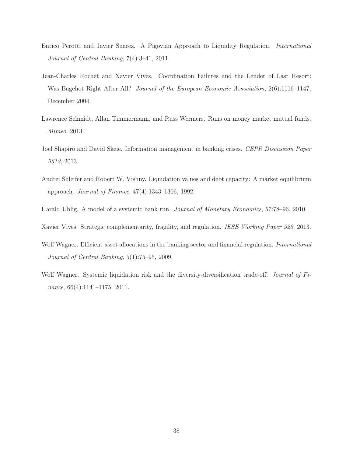- <span id="page-40-8"></span>Enrico Perotti and Javier Suarez. A Pigovian Approach to Liquidity Regulation. International Journal of Central Banking, 7(4):3–41, 2011.
- <span id="page-40-2"></span>Jean-Charles Rochet and Xavier Vives. Coordination Failures and the Lender of Last Resort: Was Bagehot Right After All? Journal of the European Economic Association, 2(6):1116–1147, December 2004.
- <span id="page-40-0"></span>Lawrence Schmidt, Allan Timmermann, and Russ Wermers. Runs on money market mutual funds. Mimeo, 2013.
- <span id="page-40-7"></span>Joel Shapiro and David Skeie. Information management in banking crises. CEPR Discussion Paper 9612, 2013.
- <span id="page-40-1"></span>Andrei Shleifer and Robert W. Vishny. Liquidation values and debt capacity: A market equilibrium approach. Journal of Finance, 47(4):1343–1366, 1992.
- <span id="page-40-4"></span>Harald Uhlig. A model of a systemic bank run. Journal of Monetary Economics, 57:78–96, 2010.
- <span id="page-40-5"></span>Xavier Vives. Strategic complementarity, fragility, and regulation. IESE Working Paper 928, 2013.
- <span id="page-40-6"></span>Wolf Wagner. Efficient asset allocations in the banking sector and financial regulation. *International* Journal of Central Banking, 5(1):75–95, 2009.
- <span id="page-40-3"></span>Wolf Wagner. Systemic liquidation risk and the diversity-diversification trade-off. Journal of Finance, 66(4):1141–1175, 2011.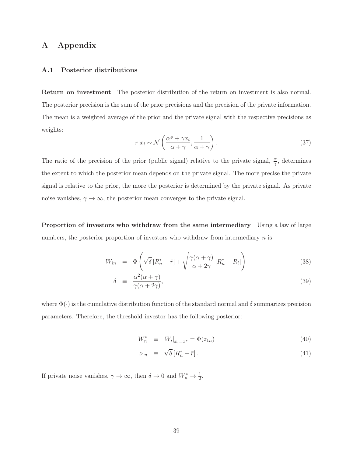## <span id="page-41-0"></span>A Appendix

#### A.1 Posterior distributions

Return on investment The posterior distribution of the return on investment is also normal. The posterior precision is the sum of the prior precisions and the precision of the private information. The mean is a weighted average of the prior and the private signal with the respective precisions as weights:

$$
r|x_i \sim \mathcal{N}\left(\frac{\alpha \bar{r} + \gamma x_i}{\alpha + \gamma}, \frac{1}{\alpha + \gamma}\right). \tag{37}
$$

The ratio of the precision of the prior (public signal) relative to the private signal,  $\frac{\alpha}{\gamma}$ , determines the extent to which the posterior mean depends on the private signal. The more precise the private signal is relative to the prior, the more the posterior is determined by the private signal. As private noise vanishes,  $\gamma \to \infty$ , the posterior mean converges to the private signal.

Proportion of investors who withdraw from the same intermediary Using a law of large numbers, the posterior proportion of investors who withdraw from intermediary  $n$  is

$$
W_{in} = \Phi\left(\sqrt{\delta}\left[R_n^* - \bar{r}\right] + \sqrt{\frac{\gamma(\alpha + \gamma)}{\alpha + 2\gamma}}\left[R_n^* - R_i\right]\right)
$$
\n(38)

$$
\delta \equiv \frac{\alpha^2(\alpha + \gamma)}{\gamma(\alpha + 2\gamma)},\tag{39}
$$

where  $\Phi(\cdot)$  is the cumulative distribution function of the standard normal and  $\delta$  summarizes precision parameters. Therefore, the threshold investor has the following posterior:

$$
W_n^* \equiv W_i|_{x_i = x^*} = \Phi(z_{1n}) \tag{40}
$$

$$
z_{1n} \equiv \sqrt{\delta} \left[ R_n^* - \bar{r} \right]. \tag{41}
$$

If private noise vanishes,  $\gamma \to \infty$ , then  $\delta \to 0$  and  $W_n^* \to \frac{1}{2}$ .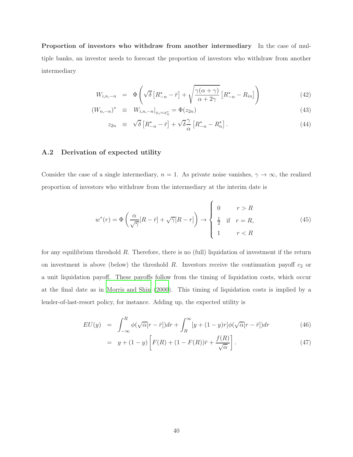Proportion of investors who withdraw from another intermediary In the case of multiple banks, an investor needs to forecast the proportion of investors who withdraw from another intermediary

$$
W_{i,n,-n} = \Phi\left(\sqrt{\delta}\left[R_{-n}^* - \bar{r}\right] + \sqrt{\frac{\gamma(\alpha+\gamma)}{\alpha+2\gamma}}\left[R_{-n}^* - R_{in}\right]\right)
$$
(42)

$$
(W_{n,-n})^* \equiv W_{i,n,-n}|_{x_i=x_n^*} = \Phi(z_{2n}) \tag{43}
$$

$$
z_{2n} \equiv \sqrt{\delta} \left[ R_{-n}^* - \bar{r} \right] + \sqrt{\delta} \frac{\gamma}{\alpha} \left[ R_{-n}^* - R_n^* \right]. \tag{44}
$$

#### <span id="page-42-0"></span>A.2 Derivation of expected utility

Consider the case of a single intermediary,  $n = 1$ . As private noise vanishes,  $\gamma \to \infty$ , the realized proportion of investors who withdraw from the intermediary at the interim date is

$$
w^*(r) = \Phi\left(\frac{\alpha}{\sqrt{\gamma}}[R-\bar{r}] + \sqrt{\gamma}[R-r]\right) \to \begin{cases} 0 & r > R \\ \frac{1}{2} & \text{if } r = R, \\ 1 & r < R \end{cases}
$$
(45)

for any equilibrium threshold R. Therefore, there is no (full) liquidation of investment if the return on investment is above (below) the threshold  $R$ . Investors receive the continuation payoff  $c_2$  or a unit liquidation payoff. These payoffs follow from the timing of liquidation costs, which occur at the final date as in [Morris and Shin \(2000\)](#page-39-5). This timing of liquidation costs is implied by a lender-of-last-resort policy, for instance. Adding up, the expected utility is

$$
EU(y) = \int_{-\infty}^{R} \phi(\sqrt{\alpha}[r-\bar{r}])dr + \int_{R}^{\infty} [y+(1-y)r]\phi(\sqrt{\alpha}[r-\bar{r}])dr \qquad (46)
$$

$$
= y + (1 - y) \left[ F(R) + (1 - F(R))\bar{r} + \frac{f(R)}{\sqrt{\alpha}} \right].
$$
 (47)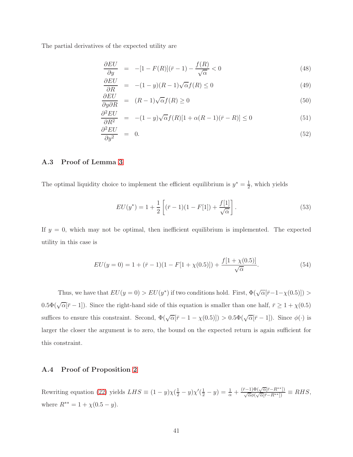The partial derivatives of the expected utility are

$$
\frac{\partial EU}{\partial y} = -[1 - F(R)](\bar{r} - 1) - \frac{f(R)}{\sqrt{\alpha}} < 0 \tag{48}
$$

$$
\frac{\partial EU}{\partial R} = -(1-y)(R-1)\sqrt{\alpha}f(R) \le 0 \tag{49}
$$

$$
\frac{\partial EU}{\partial y \partial R} = (R-1)\sqrt{\alpha}f(R) \ge 0
$$
\n(50)

$$
\frac{\partial^2 EU}{\partial R^2} = -(1-y)\sqrt{\alpha}f(R)[1+\alpha(R-1)(\bar{r}-R)] \le 0
$$
\n(51)

$$
\frac{\partial^2 EU}{\partial y^2} = 0. \tag{52}
$$

#### <span id="page-43-0"></span>A.3 Proof of Lemma [3](#page-25-1)

The optimal liquidity choice to implement the efficient equilibrium is  $y^* = \frac{1}{2}$  $\frac{1}{2}$ , which yields

$$
EU(y^*) = 1 + \frac{1}{2} \left[ (\bar{r} - 1)(1 - F[1]) + \frac{f[1]}{\sqrt{\alpha}} \right]. \tag{53}
$$

If  $y = 0$ , which may not be optimal, then inefficient equilibrium is implemented. The expected utility in this case is

$$
EU(y=0) = 1 + (\bar{r} - 1)(1 - F[1 + \chi(0.5)]) + \frac{f[1 + \chi(0.5)]}{\sqrt{\alpha}}.
$$
\n(54)

Thus, we have that  $EU(y=0) > EU(y^*)$  if two conditions hold. First,  $\Phi(\sqrt{\alpha}[\bar{r}-1-\chi(0.5)]) >$  $0.5\Phi(\sqrt{\alpha}|\bar{r}-1]$ ). Since the right-hand side of this equation is smaller than one half,  $\bar{r}\geq 1+\chi(0.5)$ suffices to ensure this constraint. Second,  $\Phi(\sqrt{\alpha}[\bar{r} - 1 - \chi(0.5)]) > 0.5\Phi(\sqrt{\alpha}[\bar{r} - 1])$ . Since  $\phi(\cdot)$  is larger the closer the argument is to zero, the bound on the expected return is again sufficient for this constraint.

#### <span id="page-43-1"></span>A.4 Proof of Proposition [2](#page-25-0)

Rewriting equation [\(22\)](#page-25-2) yields  $LHS \equiv (1 - y)\chi(\frac{1}{2} - y)\chi'(\frac{1}{2} - y) = \frac{1}{\alpha} + \frac{(\bar{r}-1)\Phi(\sqrt{\alpha}[\bar{r}-R^{**}])}{\sqrt{\alpha}\phi(\sqrt{\alpha}[\bar{r}-R^{**}])} \equiv RHS$ , where  $R^{**} = 1 + \chi(0.5 - y)$ .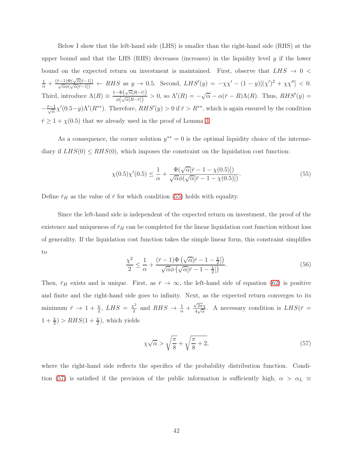Below I show that the left-hand side (LHS) is smaller than the right-hand side (RHS) at the upper bound and that the LHS (RHS) decreases (increases) in the liquidity level  $y$  if the lower bound on the expected return on investment is maintained. First, observe that  $LHS \rightarrow 0$  $\frac{1}{\alpha} + \frac{(\bar{r}-1)\Phi(\sqrt{\alpha}[\bar{r}-1])}{\sqrt{\alpha}\phi(\sqrt{\alpha}[\bar{r}-1])} \leftarrow RHS \text{ as } y \to 0.5.$  Second,  $LHS'(y) = -\chi\chi' - (1-y)[(\chi')^2 + \chi\chi''] < 0.$ Third, introduce  $\Lambda(R) \equiv \frac{1-\Phi(\sqrt{\alpha}[R-\bar{r}])}{\phi(\sqrt{\alpha}[R-\bar{r}])}$  $\frac{-\Phi(\sqrt{\alpha}[R-\bar{r}])}{\phi(\sqrt{\alpha}[R-\bar{r}])} > 0$ , so  $\Lambda'(R) = -\sqrt{\alpha} - \alpha(\bar{r} - R)\Lambda(R)$ . Thus,  $RHS'(y) =$  $-\frac{\bar{r}-1}{\sqrt{\alpha}}\chi'(0.5-y)\Lambda'(R^{**})$ . Therefore,  $RHS'(y) > 0$  if  $\bar{r} > R^{**}$ , which is again ensured by the condition  $\bar{r} \geq 1 + \chi(0.5)$  that we already used in the proof of Lemma [3.](#page-25-1)

As a consequence, the corner solution  $y^{**} = 0$  is the optimal liquidity choice of the intermediary if  $LHS(0) \le RHS(0)$ , which imposes the constraint on the liquidation cost function:

<span id="page-44-0"></span>
$$
\chi(0.5)\chi'(0.5) \le \frac{1}{\alpha} + \frac{\Phi(\sqrt{\alpha}[\bar{r} - 1 - \chi(0.5)])}{\sqrt{\alpha}\phi(\sqrt{\alpha}[\bar{r} - 1 - \chi(0.5)])}.
$$
\n(55)

Define  $\bar{r}_H$  as the value of  $\bar{r}$  for which condition [\(55\)](#page-44-0) holds with equality.

Since the left-hand side is independent of the expected return on investment, the proof of the existence and uniqueness of  $\bar{r}_H$  can be completed for the linear liquidation cost function without loss of generality. If the liquidation cost function takes the simple linear form, this constraint simplifies to

$$
\frac{\chi^2}{2} \le \frac{1}{\alpha} + \frac{(\bar{r} - 1)\Phi\left(\sqrt{\alpha}[\bar{r} - 1 - \frac{\chi}{2}]\right)}{\sqrt{\alpha}\phi\left(\sqrt{\alpha}[\bar{r} - 1 - \frac{\chi}{2}]\right)}.
$$
\n(56)

Then,  $\bar{r}_H$  exists and is unique. First, as  $\bar{r} \to \infty$ , the left-hand side of equation [\(62\)](#page-47-0) is positive and finite and the right-hand side goes to infinity. Next, as the expected return converges to its minimum  $\bar{r} \to 1 + \frac{\chi}{2}$ ,  $LHS = \frac{\chi^2}{2}$  $\frac{\zeta^2}{2}$  and  $RHS \rightarrow \frac{1}{\alpha} + \frac{\sqrt{2\pi}\chi}{4\sqrt{\alpha}}$  $\frac{\sqrt{2\pi\chi}}{4\sqrt{\alpha}}$ . A necessary condition is  $LHS(\bar{r})$  $1 + \frac{\chi}{2}$  >  $RHS(1 + \frac{\chi}{2})$ , which yields

<span id="page-44-1"></span>
$$
\chi\sqrt{\alpha} > \sqrt{\frac{\pi}{8}} + \sqrt{\frac{\pi}{8} + 2},\tag{57}
$$

where the right-hand side reflects the specifics of the probability distribution function. Condi-tion [\(57\)](#page-44-1) is satisfied if the precision of the public information is sufficiently high,  $\alpha > \alpha_L \equiv$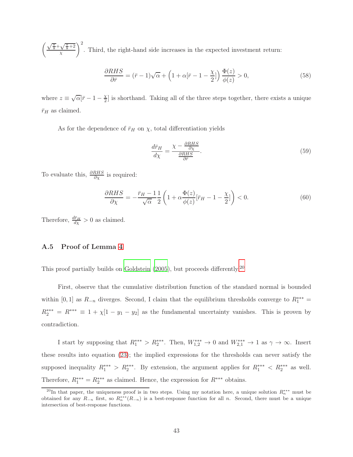$\sqrt{\frac{\pi}{8}}+\sqrt{\frac{\pi}{8}+2}$ χ  $\setminus^2$ . Third, the right-hand side increases in the expected investment return:

$$
\frac{\partial RHS}{\partial \bar{r}} = (\bar{r} - 1)\sqrt{\alpha} + \left(1 + \alpha[\bar{r} - 1 - \frac{\chi}{2}]\right) \frac{\Phi(z)}{\phi(z)} > 0,
$$
\n(58)

where  $z \equiv \sqrt{\alpha} \bar{r} - 1 - \frac{\chi}{2}$  $\frac{X}{2}$  is shorthand. Taking all of the three steps together, there exists a unique  $\bar{r}_H$  as claimed.

As for the dependence of  $\bar{r}_H$  on  $\chi$ , total differentiation yields

$$
\frac{d\bar{r}_H}{d\chi} = \frac{\chi - \frac{\partial RHS}{\partial \chi}}{\frac{\partial RHS}{\partial \bar{r}}}.\tag{59}
$$

To evaluate this,  $\frac{\partial RHS}{\partial \chi}$  is required:

$$
\frac{\partial RHS}{\partial \chi} = -\frac{\bar{r}_H - 1}{\sqrt{\alpha}} \frac{1}{2} \left( 1 + \alpha \frac{\Phi(z)}{\phi(z)} [\bar{r}_H - 1 - \frac{\chi}{2}] \right) < 0. \tag{60}
$$

<span id="page-45-0"></span>Therefore,  $\frac{d\bar{r}_H}{dx} > 0$  as claimed.

#### A.5 Proof of Lemma [4](#page-27-1)

This proof partially builds on [Goldstein \(2005\)](#page-39-12), but proceeds differently.<sup>[20](#page-45-1)</sup>

First, observe that the cumulative distribution function of the standard normal is bounded within [0, 1] as  $R_{-n}$  diverges. Second, I claim that the equilibrium thresholds converge to  $R_1^{***}$  $R_2^{***} = R^{***} \equiv 1 + \chi[1 - y_1 - y_2]$  as the fundamental uncertainty vanishes. This is proven by contradiction.

I start by supposing that  $R_1^{***} > R_2^{***}$ . Then,  $W_{1,2}^{***} \to 0$  and  $W_{2,1}^{***} \to 1$  as  $\gamma \to \infty$ . Insert these results into equation [\(23\)](#page-27-2); the implied expressions for the thresholds can never satisfy the supposed inequality  $R_1^{***} > R_2^{***}$ . By extension, the argument applies for  $R_1^{***} < R_2^{***}$  as well. Therefore,  $R_1^{***} = R_2^{***}$  as claimed. Hence, the expression for  $R^{***}$  obtains.

<span id="page-45-1"></span><sup>&</sup>lt;sup>20</sup>In that paper, the uniqueness proof is in two steps. Using my notation here, a unique solution  $R_n^{***}$  must be obtained for any  $R_{-n}$  first, so  $R_n^{***}(R_{-n})$  is a best-response function for all n. Second, there must be a unique intersection of best-response functions.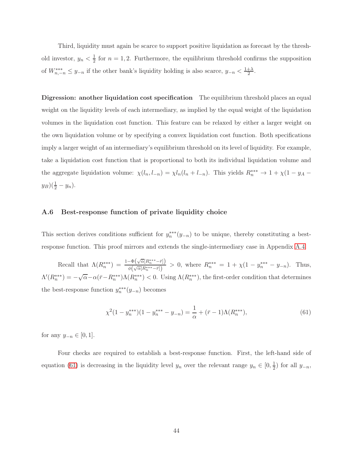Third, liquidity must again be scarce to support positive liquidation as forecast by the threshold investor,  $y_n < \frac{1}{2}$  $\frac{1}{2}$  for  $n = 1, 2$ . Furthermore, the equilibrium threshold confirms the supposition of  $W_{n,-n}^{***} \leq y_{-n}$  if the other bank's liquidity holding is also scarce,  $y_{-n} < \frac{1+\lambda}{2}$  $\frac{+\lambda}{2}$ .

Digression: another liquidation cost specification The equilibrium threshold places an equal weight on the liquidity levels of each intermediary, as implied by the equal weight of the liquidation volumes in the liquidation cost function. This feature can be relaxed by either a larger weight on the own liquidation volume or by specifying a convex liquidation cost function. Both specifications imply a larger weight of an intermediary's equilibrium threshold on its level of liquidity. For example, take a liquidation cost function that is proportional to both its individual liquidation volume and the aggregate liquidation volume:  $\chi(l_n, l_{-n}) = \chi l_n(l_n + l_{-n})$ . This yields  $R_n^{***} \to 1 + \chi(1 - y_A (y_B)(\frac{1}{2} - y_n).$ 

#### <span id="page-46-0"></span>A.6 Best-response function of private liquidity choice

This section derives conditions sufficient for  $y_n^{**}(y_{-n})$  to be unique, thereby constituting a bestresponse function. This proof mirrors and extends the single-intermediary case in Appendix [A.4.](#page-43-1)

Recall that  $\Lambda(R_n^{***}) = \frac{1-\Phi(\sqrt{\alpha}[R_n^{***}-\bar{r}])}{\phi(\sqrt{\alpha}[R^{***}-\bar{r}])}$  $\frac{\partial^2 \phi(\sqrt{\alpha}[R_n^{**} - \bar{r}])}{\phi(\sqrt{\alpha}[R_n^{**} - \bar{r}])} > 0$ , where  $R_n^{**} = 1 + \chi(1 - y_n^{**} - y_{-n})$ . Thus,  $\Lambda'(R_n^{***}) = -\sqrt{\alpha} - \alpha(\bar{r} - R_n^{***})\Lambda(R_n^{***}) < 0$ . Using  $\Lambda(R_n^{***})$ , the first-order condition that determines the best-response function  $y_n^{***}(y_{-n})$  becomes

<span id="page-46-1"></span>
$$
\chi^2(1 - y_n^{***})(1 - y_n^{***} - y_{-n}) = \frac{1}{\alpha} + (\bar{r} - 1)\Lambda(R_n^{***}),\tag{61}
$$

for any  $y_{-n} \in [0,1]$ .

Four checks are required to establish a best-response function. First, the left-hand side of equation [\(61\)](#page-46-1) is decreasing in the liquidity level  $y_n$  over the relevant range  $y_n \in [0, \frac{1}{2}]$  $rac{1}{2}$ ) for all  $y_{-n}$ ,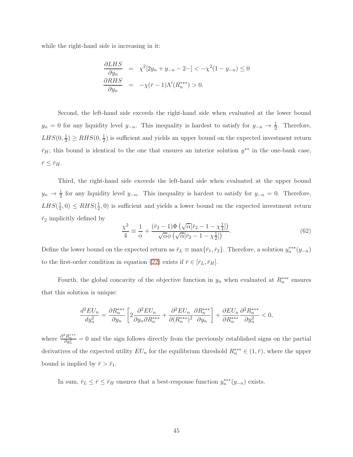while the right-hand side is increasing in it:

$$
\frac{\partial LHS}{\partial y_n} = \chi^2[2y_n + y_{-n} - 2 -] < -\chi^2(1 - y_{-n}) \le 0
$$
  

$$
\frac{\partial RHS}{\partial y_n} = -\chi(\bar{r} - 1)\Lambda'(R_n^{***}) > 0.
$$

Second, the left-hand side exceeds the right-hand side when evaluated at the lower bound  $y_n = 0$  for any liquidity level  $y_{-n}$ . This inequality is hardest to satisfy for  $y_{-n} \to \frac{1}{2}$ . Therefore,  $LHS(0, \frac{1}{2})$  $(\frac{1}{2}) \ge RHS(0, \frac{1}{2})$  $\frac{1}{2}$ ) is sufficient and yields an upper bound on the expected investment return  $\bar{r}_H$ ; this bound is identical to the one that ensures an interior solution  $y^{**}$  in the one-bank case,  $\bar{r}\leq\bar{r}_{H}.$ 

Third, the right-hand side exceeds the left-hand side when evaluated at the upper bound  $y_n \to \frac{1}{2}$  for any liquidity level  $y_{-n}$ . This inequality is hardest to satisfy for  $y_{-n} = 0$ . Therefore,  $LHS(\frac{1}{2})$  $(\frac{1}{2}, 0) \leq RHS(\frac{1}{2})$  $\frac{1}{2}$ , 0) is sufficient and yields a lower bound on the expected investment return  $\bar{r}_2$  implicitly defined by

<span id="page-47-0"></span>
$$
\frac{\chi^2}{4} \equiv \frac{1}{\alpha} + \frac{(\bar{r}_2 - 1)\Phi\left(\sqrt{\alpha}[\bar{r}_2 - 1 - \chi_{\frac{1}{4}}]\right)}{\sqrt{\alpha}\phi\left(\sqrt{\alpha}[\bar{r}_2 - 1 - \chi_{\frac{1}{2}}]\right)}.
$$
\n(62)

Define the lower bound on the expected return as  $\bar{r}_L \equiv \max{\{\bar{r}_1, \bar{r}_2\}}$ . Therefore, a solution  $y_n^{***}(y_{-n})$ to the first-order condition in equation [\(22\)](#page-25-2) exists if  $\bar{r} \in [\bar{r}_L, \bar{r}_H]$ .

Fourth, the global concavity of the objective function in  $y_n$  when evaluated at  $R_n^{***}$  ensures that this solution is unique:

$$
\frac{d^2EU_n}{dy_n^2}=\frac{\partial R_n^{***}}{\partial y_n}\left[2\frac{\partial^2 EU_n}{\partial y_n\partial R_n^{***}}+\frac{\partial^2 EU_n}{\partial (R_n^{***})^2}\frac{\partial R_n^{***}}{\partial y_n}\right]+\frac{\partial EU_n}{\partial R_n^{***}}\frac{\partial^2 R_n^{***}}{\partial y_n^2}<0,
$$

where  $\frac{\partial^2 R_n^{***}}{\partial y_n^2} = 0$  and the sign follows directly from the previously established signs on the partial derivatives of the expected utility  $EU_n$  for the equilibrium threshold  $R_n^{***} \in (1, \bar{r})$ , where the upper bound is implied by  $\bar{r} > \bar{r}_1$ .

In sum,  $\bar{r}_L \leq \bar{r} \leq \bar{r}_H$  ensures that a best-response function  $y_n^{***}(y_{-n})$  exists.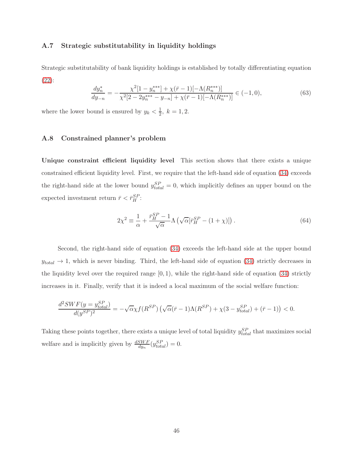#### <span id="page-48-0"></span>A.7 Strategic substitutability in liquidity holdings

Strategic substitutability of bank liquidity holdings is established by totally differentiating equation [\(22\)](#page-25-2):

$$
\frac{dy_n^*}{dy_{-n}} = -\frac{\chi^2[1 - y_n^{***}] + \chi(\bar{r} - 1)[-\Lambda(R_n^{***})]}{\chi^2[2 - 2y_n^{***} - y_{-n}] + \chi(\bar{r} - 1)[-\Lambda(R_n^{***})]} \in (-1, 0),\tag{63}
$$

<span id="page-48-1"></span>where the lower bound is ensured by  $y_k < \frac{1}{2}$  $\frac{1}{2}$ ,  $k = 1, 2$ .

#### A.8 Constrained planner's problem

Unique constraint efficient liquidity level This section shows that there exists a unique constrained efficient liquidity level. First, we require that the left-hand side of equation [\(34\)](#page-33-1) exceeds the right-hand side at the lower bound  $y_{total}^{SP} = 0$ , which implicitly defines an upper bound on the expected investment return  $\bar{r} < \bar{r}_H^{SP}$ :

$$
2\chi^2 \equiv \frac{1}{\alpha} + \frac{\bar{r}_H^{SP} - 1}{\sqrt{\alpha}} \Lambda \left( \sqrt{\alpha} [\bar{r}_H^{SP} - (1 + \chi)] \right). \tag{64}
$$

Second, the right-hand side of equation [\(34\)](#page-33-1) exceeds the left-hand side at the upper bound  $y_{total} \rightarrow 1$ , which is never binding. Third, the left-hand side of equation [\(34\)](#page-33-1) strictly decreases in the liquidity level over the required range  $[0, 1)$ , while the right-hand side of equation [\(34\)](#page-33-1) strictly increases in it. Finally, verify that it is indeed a local maximum of the social welfare function:

$$
\frac{d^2SWF(y=y_{total}^{SP})}{d(y^{SP})^2} = -\sqrt{\alpha}\chi f(R^{SP})\left(\sqrt{\alpha}(\bar{r}-1)\Lambda(R^{SP}) + \chi(3-y_{total}^{SP}) + (\bar{r}-1)\right) < 0.
$$

Taking these points together, there exists a unique level of total liquidity  $y_{total}^{SP}$  that maximizes social welfare and is implicitly given by  $\frac{dSWF}{dy_n}(y_{total}^{SP}) = 0$ .